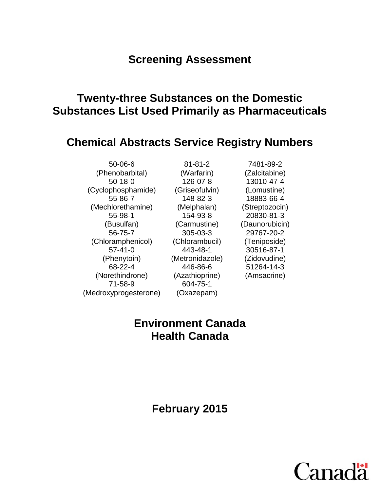# **Screening Assessment**

# **Twenty-three Substances on the Domestic Substances List Used Primarily as Pharmaceuticals**

## **Chemical Abstracts Service Registry Numbers**

50-06-6 (Phenobarbital) 50-18-0 (Cyclophosphamide) 55-86-7 (Mechlorethamine) 55-98-1 (Busulfan) 56-75-7 (Chloramphenicol) 57-41-0 (Phenytoin) 68-22-4 (Norethindrone) 71-58-9 (Medroxyprogesterone)

81-81-2 (Warfarin) 126-07-8 (Griseofulvin) 148-82-3 (Melphalan) 154-93-8 (Carmustine) 305-03-3 (Chlorambucil) 443-48-1 (Metronidazole) 446-86-6 (Azathioprine) 604-75-1 (Oxazepam)

7481-89-2 (Zalcitabine) 13010-47-4 (Lomustine) 18883-66-4 (Streptozocin) 20830-81-3 (Daunorubicin) 29767-20-2 (Teniposide) 30516-87-1 (Zidovudine) 51264-14-3 (Amsacrine)

# **Environment Canada Health Canada**

**February 2015**

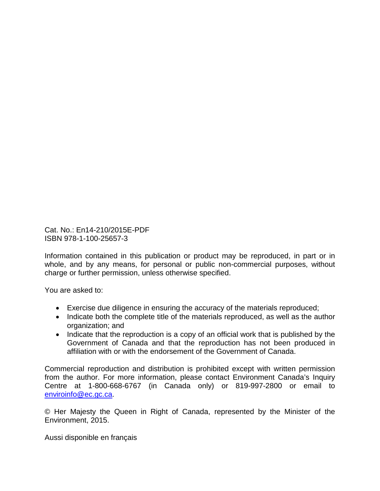Cat. No.: En14-210/2015E-PDF ISBN 978-1-100-25657-3

Information contained in this publication or product may be reproduced, in part or in whole, and by any means, for personal or public non-commercial purposes, without charge or further permission, unless otherwise specified.

You are asked to:

- Exercise due diligence in ensuring the accuracy of the materials reproduced;
- Indicate both the complete title of the materials reproduced, as well as the author organization; and
- Indicate that the reproduction is a copy of an official work that is published by the Government of Canada and that the reproduction has not been produced in affiliation with or with the endorsement of the Government of Canada.

Commercial reproduction and distribution is prohibited except with written permission from the author. For more information, please contact Environment Canada's Inquiry Centre at 1-800-668-6767 (in Canada only) or 819-997-2800 or email to [enviroinfo@ec.gc.ca.](mailto:enviroinfo@ec.gc.ca)

© Her Majesty the Queen in Right of Canada, represented by the Minister of the Environment, 2015.

Aussi disponible en français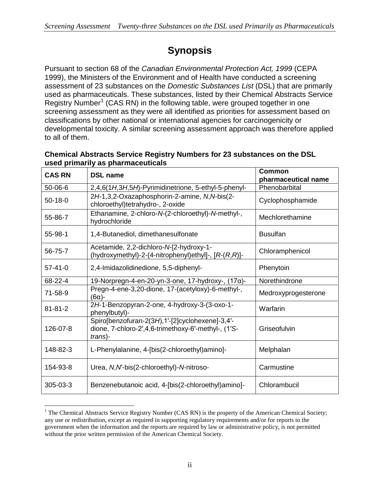# **Synopsis**

Pursuant to section 68 of the *Canadian Environmental Protection Act, 1999* (CEPA 1999), the Ministers of the Environment and of Health have conducted a screening assessment of 23 substances on the *Domestic Substances List* (DSL) that are primarily used as pharmaceuticals. These substances, listed by their Chemical Abstracts Service Registry Number<sup>[1](#page-2-0)</sup> (CAS RN) in the following table, were grouped together in one screening assessment as they were all identified as priorities for assessment based on classifications by other national or international agencies for carcinogenicity or developmental toxicity. A similar screening assessment approach was therefore applied to all of them.

#### **Chemical Abstracts Service Registry Numbers for 23 substances on the DSL used primarily as pharmaceuticals**

| <b>CAS RN</b> | <b>DSL name</b>                                                                                                   | Common<br>pharmaceutical name |  |
|---------------|-------------------------------------------------------------------------------------------------------------------|-------------------------------|--|
| $50 - 06 - 6$ | 2,4,6(1H,3H,5H)-Pyrimidinetrione, 5-ethyl-5-phenyl-                                                               | Phenobarbital                 |  |
| $50-18-0$     | 2H-1,3,2-Oxazaphosphorin-2-amine, N,N-bis(2-<br>chloroethyl)tetrahydro-, 2-oxide                                  | Cyclophosphamide              |  |
| 55-86-7       | Ethanamine, 2-chloro-N-(2-chloroethyl)-N-methyl-,<br>hydrochloride                                                | Mechlorethamine               |  |
| 55-98-1       | 1,4-Butanediol, dimethanesulfonate                                                                                | <b>Busulfan</b>               |  |
| 56-75-7       | Acetamide, 2,2-dichloro-N-[2-hydroxy-1-<br>(hydroxymethyl)-2-(4-nitrophenyl)ethyl]-, $[R-(R,R)]$ -                | Chloramphenicol               |  |
| $57 - 41 - 0$ | 2,4-Imidazolidinedione, 5,5-diphenyl-                                                                             | Phenytoin                     |  |
| 68-22-4       | 19-Norpregn-4-en-20-yn-3-one, 17-hydroxy-, $(17\alpha)$ -                                                         | Norethindrone                 |  |
| $71 - 58 - 9$ | Pregn-4-ene-3,20-dione, 17-(acetyloxy)-6-methyl-,<br>$-(6\alpha)$ -                                               | Medroxyprogesterone           |  |
| $81 - 81 - 2$ | 2H-1-Benzopyran-2-one, 4-hydroxy-3-(3-oxo-1-<br>phenylbutyl)-                                                     | Warfarin                      |  |
| 126-07-8      | Spiro[benzofuran-2(3H),1'-[2]cyclohexene]-3,4'-<br>dione, 7-chloro-2',4,6-trimethoxy-6'-methyl-, (1'S-<br>trans)- | Griseofulvin                  |  |
| 148-82-3      | L-Phenylalanine, 4-[bis(2-chloroethyl)amino]-                                                                     | Melphalan                     |  |
| 154-93-8      | Urea, N, N'-bis(2-chloroethyl)-N-nitroso-                                                                         | Carmustine                    |  |
| 305-03-3      | Benzenebutanoic acid, 4-[bis(2-chloroethyl)amino]-                                                                | Chlorambucil                  |  |

<span id="page-2-0"></span> $1$  The Chemical Abstracts Service Registry Number (CAS RN) is the property of the American Chemical Society; any use or redistribution, except as required in supporting regulatory requirements and/or for reports to the government when the information and the reports are required by law or administrative policy, is not permitted without the prior written permission of the American Chemical Society.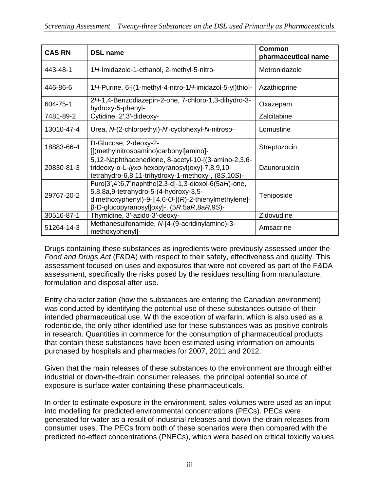| <b>CAS RN</b> | <b>DSL name</b>                                                                                                                                                                                                     | <b>Common</b><br>pharmaceutical name |
|---------------|---------------------------------------------------------------------------------------------------------------------------------------------------------------------------------------------------------------------|--------------------------------------|
| 443-48-1      | 1H-Imidazole-1-ethanol, 2-methyl-5-nitro-                                                                                                                                                                           | Metronidazole                        |
| 446-86-6      | 1H-Purine, 6-[(1-methyl-4-nitro-1H-imidazol-5-yl)thio]-                                                                                                                                                             | Azathioprine                         |
| 604-75-1      | 2H-1,4-Benzodiazepin-2-one, 7-chloro-1,3-dihydro-3-<br>hydroxy-5-phenyl-                                                                                                                                            | Oxazepam                             |
| 7481-89-2     | Cytidine, 2', 3'-dideoxy-                                                                                                                                                                                           | Zalcitabine                          |
| 13010-47-4    | Urea, N-(2-chloroethyl)-N'-cyclohexyl-N-nitroso-                                                                                                                                                                    | Lomustine                            |
| 18883-66-4    | D-Glucose, 2-deoxy-2-<br>[[(methylnitrosoamino)carbonyl]amino]-                                                                                                                                                     | Streptozocin                         |
| 20830-81-3    | 5,12-Naphthacenedione, 8-acetyl-10-[(3-amino-2,3,6-<br>trideoxy-α-L-lyxo-hexopyranosyl) oxyl-7,8,9,10-<br>tetrahydro-6,8,11-trihydroxy-1-methoxy-, (8S,10S)-                                                        | Daunorubicin                         |
| 29767-20-2    | $Func[3',4':6,7]$ naphtho[2,3-d]-1,3-dioxol-6(5aH)-one,<br>5,8,8a,9-tetrahydro-5-(4-hydroxy-3,5-<br>dimethoxyphenyl)-9- $[14, 6 - O-[R]-2$ -thienylmethylene]-<br>$\beta$ -D-glucopyranosyl]oxy]-, (5R,5aR,8aR,9S)- | Teniposide                           |
| 30516-87-1    | Thymidine, 3'-azido-3'-deoxy-                                                                                                                                                                                       | Zidovudine                           |
| 51264-14-3    | Methanesulfonamide, N-[4-(9-acridinylamino)-3-<br>methoxyphenyl]-                                                                                                                                                   | Amsacrine                            |

Drugs containing these substances as ingredients were previously assessed under the *Food and Drugs Act* (F&DA) with respect to their safety, effectiveness and quality. This assessment focused on uses and exposures that were not covered as part of the F&DA assessment, specifically the risks posed by the residues resulting from manufacture, formulation and disposal after use.

Entry characterization (how the substances are entering the Canadian environment) was conducted by identifying the potential use of these substances outside of their intended pharmaceutical use. With the exception of warfarin, which is also used as a rodenticide, the only other identified use for these substances was as positive controls in research. Quantities in commerce for the consumption of pharmaceutical products that contain these substances have been estimated using information on amounts purchased by hospitals and pharmacies for 2007, 2011 and 2012.

Given that the main releases of these substances to the environment are through either industrial or down-the-drain consumer releases, the principal potential source of exposure is surface water containing these pharmaceuticals.

In order to estimate exposure in the environment, sales volumes were used as an input into modelling for predicted environmental concentrations (PECs). PECs were generated for water as a result of industrial releases and down-the-drain releases from consumer uses. The PECs from both of these scenarios were then compared with the predicted no-effect concentrations (PNECs), which were based on critical toxicity values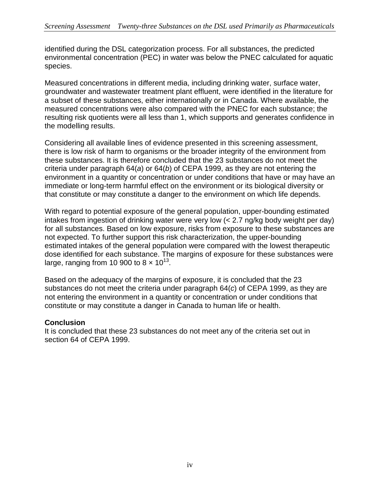identified during the DSL categorization process. For all substances, the predicted environmental concentration (PEC) in water was below the PNEC calculated for aquatic species.

Measured concentrations in different media, including drinking water, surface water, groundwater and wastewater treatment plant effluent, were identified in the literature for a subset of these substances, either internationally or in Canada. Where available, the measured concentrations were also compared with the PNEC for each substance; the resulting risk quotients were all less than 1, which supports and generates confidence in the modelling results.

Considering all available lines of evidence presented in this screening assessment, there is low risk of harm to organisms or the broader integrity of the environment from these substances. It is therefore concluded that the 23 substances do not meet the criteria under paragraph 64(*a*) or 64(*b*) of CEPA 1999, as they are not entering the environment in a quantity or concentration or under conditions that have or may have an immediate or long-term harmful effect on the environment or its biological diversity or that constitute or may constitute a danger to the environment on which life depends.

With regard to potential exposure of the general population, upper-bounding estimated intakes from ingestion of drinking water were very low (< 2.7 ng/kg body weight per day) for all substances. Based on low exposure, risks from exposure to these substances are not expected. To further support this risk characterization, the upper-bounding estimated intakes of the general population were compared with the lowest therapeutic dose identified for each substance. The margins of exposure for these substances were large, ranging from 10 900 to  $8 \times 10^{13}$ .

Based on the adequacy of the margins of exposure, it is concluded that the 23 substances do not meet the criteria under paragraph 64(*c*) of CEPA 1999, as they are not entering the environment in a quantity or concentration or under conditions that constitute or may constitute a danger in Canada to human life or health.

#### **Conclusion**

It is concluded that these 23 substances do not meet any of the criteria set out in section 64 of CEPA 1999.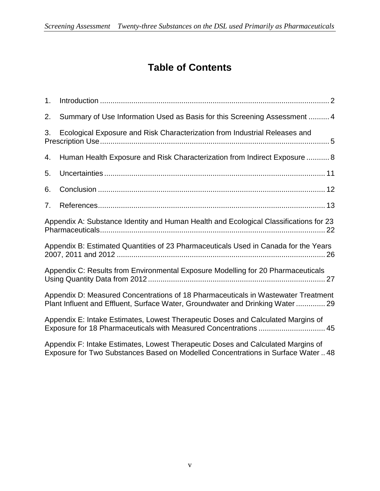# **Table of Contents**

| 1.             |                                                                                                                                                                    |
|----------------|--------------------------------------------------------------------------------------------------------------------------------------------------------------------|
| 2.             | Summary of Use Information Used as Basis for this Screening Assessment  4                                                                                          |
| 3.             | Ecological Exposure and Risk Characterization from Industrial Releases and                                                                                         |
| 4.             | Human Health Exposure and Risk Characterization from Indirect Exposure  8                                                                                          |
| 5.             |                                                                                                                                                                    |
| 6.             |                                                                                                                                                                    |
| 7 <sub>1</sub> |                                                                                                                                                                    |
|                | Appendix A: Substance Identity and Human Health and Ecological Classifications for 23                                                                              |
|                | Appendix B: Estimated Quantities of 23 Pharmaceuticals Used in Canada for the Years                                                                                |
|                | Appendix C: Results from Environmental Exposure Modelling for 20 Pharmaceuticals                                                                                   |
|                | Appendix D: Measured Concentrations of 18 Pharmaceuticals in Wastewater Treatment<br>Plant Influent and Effluent, Surface Water, Groundwater and Drinking Water 29 |
|                | Appendix E: Intake Estimates, Lowest Therapeutic Doses and Calculated Margins of<br>Exposure for 18 Pharmaceuticals with Measured Concentrations  45               |
|                | Appendix F: Intake Estimates, Lowest Therapeutic Doses and Calculated Margins of                                                                                   |

Exposure for Two Substances Based on Modelled Concentrations in Surface Water .. 48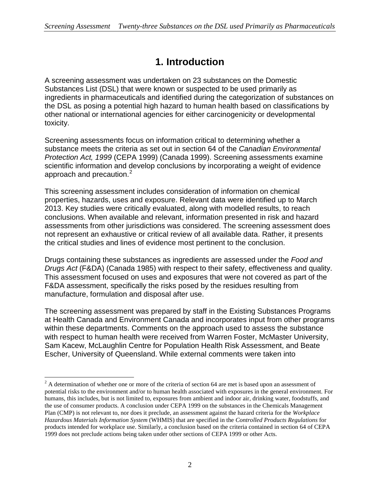## **1. Introduction**

A screening assessment was undertaken on 23 substances on the Domestic Substances List (DSL) that were known or suspected to be used primarily as ingredients in pharmaceuticals and identified during the categorization of substances on the DSL as posing a potential high hazard to human health based on classifications by other national or international agencies for either carcinogenicity or developmental toxicity.

Screening assessments focus on information critical to determining whether a substance meets the criteria as set out in section 64 of the *Canadian Environmental Protection Act, 1999* (CEPA 1999) (Canada 1999). Screening assessments examine scientific information and develop conclusions by incorporating a weight of evidence approach and precaution.<sup>[2](#page-6-0)</sup>

This screening assessment includes consideration of information on chemical properties, hazards, uses and exposure. Relevant data were identified up to March 2013. Key studies were critically evaluated, along with modelled results, to reach conclusions. When available and relevant, information presented in risk and hazard assessments from other jurisdictions was considered. The screening assessment does not represent an exhaustive or critical review of all available data. Rather, it presents the critical studies and lines of evidence most pertinent to the conclusion.

Drugs containing these substances as ingredients are assessed under the *Food and Drugs Act* (F&DA) (Canada 1985) with respect to their safety, effectiveness and quality. This assessment focused on uses and exposures that were not covered as part of the F&DA assessment, specifically the risks posed by the residues resulting from manufacture, formulation and disposal after use.

The screening assessment was prepared by staff in the Existing Substances Programs at Health Canada and Environment Canada and incorporates input from other programs within these departments. Comments on the approach used to assess the substance with respect to human health were received from Warren Foster, McMaster University, Sam Kacew, McLaughlin Centre for Population Health Risk Assessment, and Beate Escher, University of Queensland. While external comments were taken into

<span id="page-6-0"></span> $2<sup>2</sup>$  A determination of whether one or more of the criteria of section 64 are met is based upon an assessment of potential risks to the environment and/or to human health associated with exposures in the general environment. For humans, this includes, but is not limited to, exposures from ambient and indoor air, drinking water, foodstuffs, and the use of consumer products. A conclusion under CEPA 1999 on the substances in the Chemicals Management Plan (CMP) is not relevant to, nor does it preclude, an assessment against the hazard criteria for the *Workplace Hazardous Materials Information System* (WHMIS) that are specified in the *Controlled Products Regulations* for products intended for workplace use. Similarly, a conclusion based on the criteria contained in section 64 of CEPA 1999 does not preclude actions being taken under other sections of CEPA 1999 or other Acts.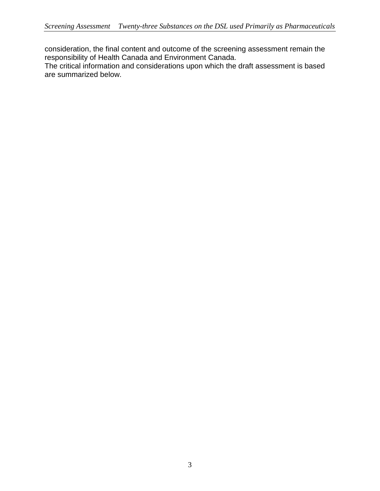consideration, the final content and outcome of the screening assessment remain the responsibility of Health Canada and Environment Canada.

The critical information and considerations upon which the draft assessment is based are summarized below.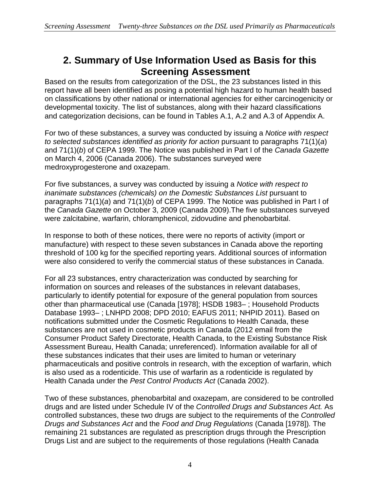## **2. Summary of Use Information Used as Basis for this Screening Assessment**

Based on the results from categorization of the DSL, the 23 substances listed in this report have all been identified as posing a potential high hazard to human health based on classifications by other national or international agencies for either carcinogenicity or developmental toxicity. The list of substances, along with their hazard classifications and categorization decisions, can be found in Tables A.1, A.2 and A.3 of Appendix A.

For two of these substances, a survey was conducted by issuing a *Notice with respect to selected substances identified as priority for action* pursuant to paragraphs 71(1)(*a*) and 71(1)(*b*) of CEPA 1999. The Notice was published in Part I of the *Canada Gazette*  on March 4, 2006 (Canada 2006). The substances surveyed were medroxyprogesterone and oxazepam.

For five substances, a survey was conducted by issuing a *Notice with respect to inanimate substances (chemicals) on the Domestic Substances List* pursuant to paragraphs 71(1)(*a*) and 71(1)(*b*) of CEPA 1999. The Notice was published in Part I of the *Canada Gazette* on October 3, 2009 (Canada 2009).The five substances surveyed were zalcitabine, warfarin, chloramphenicol, zidovudine and phenobarbital.

In response to both of these notices, there were no reports of activity (import or manufacture) with respect to these seven substances in Canada above the reporting threshold of 100 kg for the specified reporting years. Additional sources of information were also considered to verify the commercial status of these substances in Canada.

For all 23 substances, entry characterization was conducted by searching for information on sources and releases of the substances in relevant databases, particularly to identify potential for exposure of the general population from sources other than pharmaceutical use (Canada [1978]; HSDB 1983– ; Household Products Database 1993– ; LNHPD 2008; DPD 2010; EAFUS 2011; NHPID 2011). Based on notifications submitted under the Cosmetic Regulations to Health Canada, these substances are not used in cosmetic products in Canada (2012 email from the Consumer Product Safety Directorate, Health Canada, to the Existing Substance Risk Assessment Bureau, Health Canada; unreferenced). Information available for all of these substances indicates that their uses are limited to human or veterinary pharmaceuticals and positive controls in research, with the exception of warfarin, which is also used as a rodenticide. This use of warfarin as a rodenticide is regulated by Health Canada under the *Pest Control Products Act* (Canada 2002).

Two of these substances, phenobarbital and oxazepam, are considered to be controlled drugs and are listed under Schedule IV of the *Controlled Drugs and Substances Act.* As controlled substances, these two drugs are subject to the requirements of the *Controlled Drugs and Substances Act* and the *Food and Drug Regulations* (Canada [1978])*.* The remaining 21 substances are regulated as prescription drugs through the Prescription Drugs List and are subject to the requirements of those regulations (Health Canada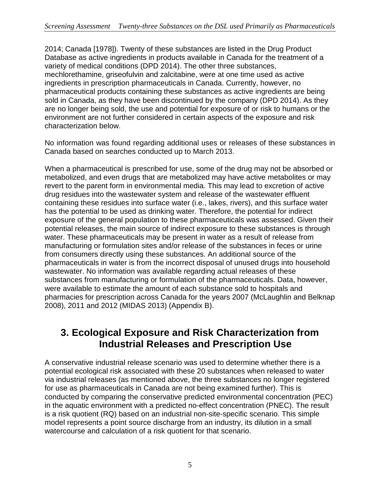2014; Canada [1978]). Twenty of these substances are listed in the Drug Product Database as active ingredients in products available in Canada for the treatment of a variety of medical conditions (DPD 2014). The other three substances, mechlorethamine, griseofulvin and zalcitabine, were at one time used as active ingredients in prescription pharmaceuticals in Canada. Currently, however, no pharmaceutical products containing these substances as active ingredients are being sold in Canada, as they have been discontinued by the company (DPD 2014). As they are no longer being sold, the use and potential for exposure of or risk to humans or the environment are not further considered in certain aspects of the exposure and risk characterization below.

No information was found regarding additional uses or releases of these substances in Canada based on searches conducted up to March 2013.

When a pharmaceutical is prescribed for use, some of the drug may not be absorbed or metabolized, and even drugs that are metabolized may have active metabolites or may revert to the parent form in environmental media. This may lead to excretion of active drug residues into the wastewater system and release of the wastewater effluent containing these residues into surface water (i.e., lakes, rivers), and this surface water has the potential to be used as drinking water. Therefore, the potential for indirect exposure of the general population to these pharmaceuticals was assessed. Given their potential releases, the main source of indirect exposure to these substances is through water. These pharmaceuticals may be present in water as a result of release from manufacturing or formulation sites and/or release of the substances in feces or urine from consumers directly using these substances. An additional source of the pharmaceuticals in water is from the incorrect disposal of unused drugs into household wastewater. No information was available regarding actual releases of these substances from manufacturing or formulation of the pharmaceuticals. Data, however, were available to estimate the amount of each substance sold to hospitals and pharmacies for prescription across Canada for the years 2007 (McLaughlin and Belknap 2008), 2011 and 2012 (MIDAS 2013) (Appendix B).

### **3. Ecological Exposure and Risk Characterization from Industrial Releases and Prescription Use**

A conservative industrial release scenario was used to determine whether there is a potential ecological risk associated with these 20 substances when released to water via industrial releases (as mentioned above, the three substances no longer registered for use as pharmaceuticals in Canada are not being examined further). This is conducted by comparing the conservative predicted environmental concentration (PEC) in the aquatic environment with a predicted no-effect concentration (PNEC). The result is a risk quotient (RQ) based on an industrial non-site-specific scenario. This simple model represents a point source discharge from an industry, its dilution in a small watercourse and calculation of a risk quotient for that scenario.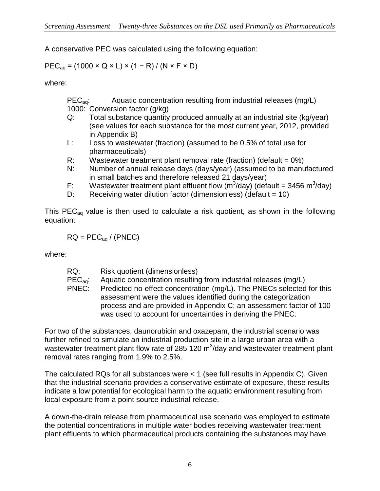A conservative PEC was calculated using the following equation:

### $PEC_{aq} = (1000 \times Q \times L) \times (1 - R) / (N \times F \times D)$

where:

PEC<sub>ag</sub>: Aquatic concentration resulting from industrial releases (mg/L) 1000: Conversion factor (g/kg)

- Q: Total substance quantity produced annually at an industrial site (kg/year) (see values for each substance for the most current year, 2012, provided in Appendix B)
- L: Loss to wastewater (fraction) (assumed to be 0.5% of total use for pharmaceuticals)
- R: Wastewater treatment plant removal rate (fraction) (default =  $0\%$ )
- N: Number of annual release days (days/year) (assumed to be manufactured in small batches and therefore released 21 days/year)
- F: Wastewater treatment plant effluent flow  $(m^3/day)$  (default = 3456 m $^3/day$ )
- D: Receiving water dilution factor (dimensionless) (default = 10)

This  $PEC_{aa}$  value is then used to calculate a risk quotient, as shown in the following equation:

$$
RQ = PEC_{aq} / (PNEC)
$$

where:

| RQ: | Risk quotient (dimensionless) |
|-----|-------------------------------|
|-----|-------------------------------|

- PEC<sub>aq</sub>: Aquatic concentration resulting from industrial releases (mg/L)
- PNEC: Predicted no-effect concentration (mg/L). The PNECs selected for this assessment were the values identified during the categorization process and are provided in Appendix C; an assessment factor of 100 was used to account for uncertainties in deriving the PNEC.

For two of the substances, daunorubicin and oxazepam, the industrial scenario was further refined to simulate an industrial production site in a large urban area with a wastewater treatment plant flow rate of 285 120 m<sup>3</sup>/day and wastewater treatment plant removal rates ranging from 1.9% to 2.5%.

The calculated RQs for all substances were < 1 (see full results in Appendix C). Given that the industrial scenario provides a conservative estimate of exposure, these results indicate a low potential for ecological harm to the aquatic environment resulting from local exposure from a point source industrial release.

A down-the-drain release from pharmaceutical use scenario was employed to estimate the potential concentrations in multiple water bodies receiving wastewater treatment plant effluents to which pharmaceutical products containing the substances may have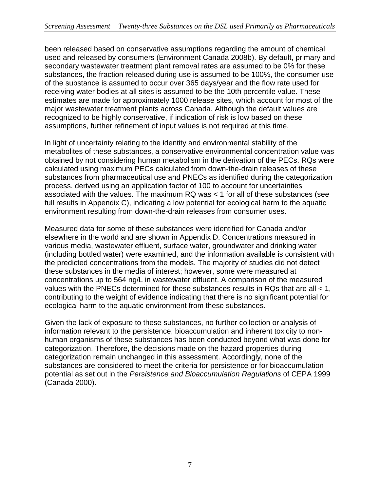been released based on conservative assumptions regarding the amount of chemical used and released by consumers (Environment Canada 2008b). By default, primary and secondary wastewater treatment plant removal rates are assumed to be 0% for these substances, the fraction released during use is assumed to be 100%, the consumer use of the substance is assumed to occur over 365 days/year and the flow rate used for receiving water bodies at all sites is assumed to be the 10th percentile value. These estimates are made for approximately 1000 release sites, which account for most of the major wastewater treatment plants across Canada. Although the default values are recognized to be highly conservative, if indication of risk is low based on these assumptions, further refinement of input values is not required at this time.

In light of uncertainty relating to the identity and environmental stability of the metabolites of these substances, a conservative environmental concentration value was obtained by not considering human metabolism in the derivation of the PECs. RQs were calculated using maximum PECs calculated from down-the-drain releases of these substances from pharmaceutical use and PNECs as identified during the categorization process, derived using an application factor of 100 to account for uncertainties associated with the values. The maximum RQ was < 1 for all of these substances (see full results in Appendix C), indicating a low potential for ecological harm to the aquatic environment resulting from down-the-drain releases from consumer uses.

Measured data for some of these substances were identified for Canada and/or elsewhere in the world and are shown in Appendix D. Concentrations measured in various media, wastewater effluent, surface water, groundwater and drinking water (including bottled water) were examined, and the information available is consistent with the predicted concentrations from the models. The majority of studies did not detect these substances in the media of interest; however, some were measured at concentrations up to 564 ng/L in wastewater effluent. A comparison of the measured values with the PNECs determined for these substances results in RQs that are all < 1, contributing to the weight of evidence indicating that there is no significant potential for ecological harm to the aquatic environment from these substances.

Given the lack of exposure to these substances, no further collection or analysis of information relevant to the persistence, bioaccumulation and inherent toxicity to nonhuman organisms of these substances has been conducted beyond what was done for categorization. Therefore, the decisions made on the hazard properties during categorization remain unchanged in this assessment. Accordingly, none of the substances are considered to meet the criteria for persistence or for bioaccumulation potential as set out in the *Persistence and Bioaccumulation Regulations* of CEPA 1999 (Canada 2000).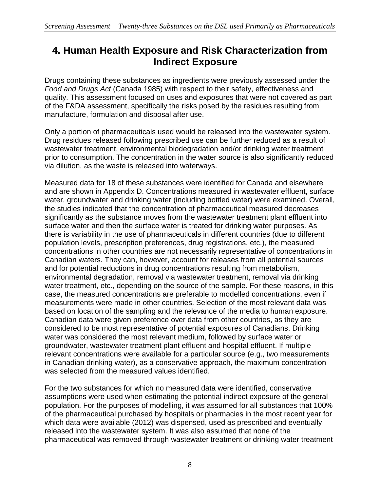## **4. Human Health Exposure and Risk Characterization from Indirect Exposure**

Drugs containing these substances as ingredients were previously assessed under the *Food and Drugs Act* (Canada 1985) with respect to their safety, effectiveness and quality. This assessment focused on uses and exposures that were not covered as part of the F&DA assessment, specifically the risks posed by the residues resulting from manufacture, formulation and disposal after use.

Only a portion of pharmaceuticals used would be released into the wastewater system. Drug residues released following prescribed use can be further reduced as a result of wastewater treatment, environmental biodegradation and/or drinking water treatment prior to consumption. The concentration in the water source is also significantly reduced via dilution, as the waste is released into waterways.

Measured data for 18 of these substances were identified for Canada and elsewhere and are shown in Appendix D. Concentrations measured in wastewater effluent, surface water, groundwater and drinking water (including bottled water) were examined. Overall, the studies indicated that the concentration of pharmaceutical measured decreases significantly as the substance moves from the wastewater treatment plant effluent into surface water and then the surface water is treated for drinking water purposes. As there is variability in the use of pharmaceuticals in different countries (due to different population levels, prescription preferences, drug registrations, etc.), the measured concentrations in other countries are not necessarily representative of concentrations in Canadian waters. They can, however, account for releases from all potential sources and for potential reductions in drug concentrations resulting from metabolism, environmental degradation, removal via wastewater treatment, removal via drinking water treatment, etc., depending on the source of the sample. For these reasons, in this case, the measured concentrations are preferable to modelled concentrations, even if measurements were made in other countries. Selection of the most relevant data was based on location of the sampling and the relevance of the media to human exposure. Canadian data were given preference over data from other countries, as they are considered to be most representative of potential exposures of Canadians. Drinking water was considered the most relevant medium, followed by surface water or groundwater, wastewater treatment plant effluent and hospital effluent. If multiple relevant concentrations were available for a particular source (e.g., two measurements in Canadian drinking water), as a conservative approach, the maximum concentration was selected from the measured values identified.

For the two substances for which no measured data were identified, conservative assumptions were used when estimating the potential indirect exposure of the general population. For the purposes of modelling, it was assumed for all substances that 100% of the pharmaceutical purchased by hospitals or pharmacies in the most recent year for which data were available (2012) was dispensed, used as prescribed and eventually released into the wastewater system. It was also assumed that none of the pharmaceutical was removed through wastewater treatment or drinking water treatment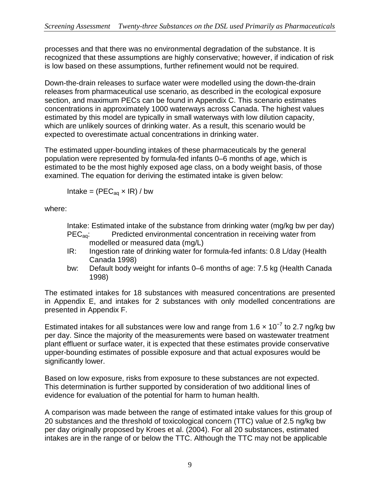processes and that there was no environmental degradation of the substance. It is recognized that these assumptions are highly conservative; however, if indication of risk is low based on these assumptions, further refinement would not be required.

Down-the-drain releases to surface water were modelled using the down-the-drain releases from pharmaceutical use scenario, as described in the ecological exposure section, and maximum PECs can be found in Appendix C. This scenario estimates concentrations in approximately 1000 waterways across Canada. The highest values estimated by this model are typically in small waterways with low dilution capacity, which are unlikely sources of drinking water. As a result, this scenario would be expected to overestimate actual concentrations in drinking water.

The estimated upper-bounding intakes of these pharmaceuticals by the general population were represented by formula-fed infants 0–6 months of age, which is estimated to be the most highly exposed age class, on a body weight basis, of those examined. The equation for deriving the estimated intake is given below:

Intake =  $(PEC_{aq} \times IR) / bw$ 

where:

Intake: Estimated intake of the substance from drinking water (mg/kg bw per day) PEC<sub>aq</sub>: Predicted environmental concentration in receiving water from

- modelled or measured data (mg/L)
- IR: Ingestion rate of drinking water for formula-fed infants: 0.8 L/day (Health Canada 1998)
- bw: Default body weight for infants 0–6 months of age: 7.5 kg (Health Canada 1998)

The estimated intakes for 18 substances with measured concentrations are presented in Appendix E, and intakes for 2 substances with only modelled concentrations are presented in Appendix F.

Estimated intakes for all substances were low and range from 1.6  $\times$  10<sup>-7</sup> to 2.7 ng/kg bw per day. Since the majority of the measurements were based on wastewater treatment plant effluent or surface water, it is expected that these estimates provide conservative upper-bounding estimates of possible exposure and that actual exposures would be significantly lower.

Based on low exposure, risks from exposure to these substances are not expected. This determination is further supported by consideration of two additional lines of evidence for evaluation of the potential for harm to human health.

A comparison was made between the range of estimated intake values for this group of 20 substances and the threshold of toxicological concern (TTC) value of 2.5 ng/kg bw per day originally proposed by Kroes et al. (2004). For all 20 substances, estimated intakes are in the range of or below the TTC. Although the TTC may not be applicable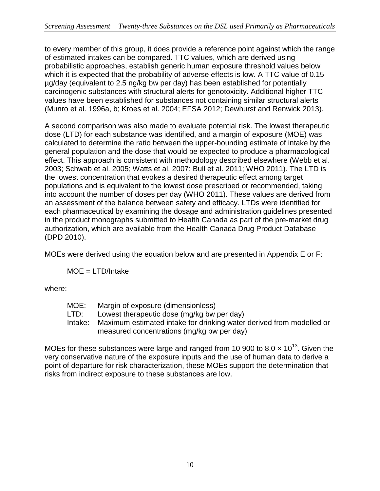to every member of this group, it does provide a reference point against which the range of estimated intakes can be compared. TTC values, which are derived using probabilistic approaches, establish generic human exposure threshold values below which it is expected that the probability of adverse effects is low. A TTC value of 0.15 µg/day (equivalent to 2.5 ng/kg bw per day) has been established for potentially carcinogenic substances with structural alerts for genotoxicity. Additional higher TTC values have been established for substances not containing similar structural alerts (Munro et al. 1996a, b; Kroes et al. 2004; EFSA 2012; Dewhurst and Renwick 2013).

A second comparison was also made to evaluate potential risk. The lowest therapeutic dose (LTD) for each substance was identified, and a margin of exposure (MOE) was calculated to determine the ratio between the upper-bounding estimate of intake by the general population and the dose that would be expected to produce a pharmacological effect. This approach is consistent with methodology described elsewhere (Webb et al. 2003; Schwab et al. 2005; Watts et al. 2007; Bull et al. 2011; WHO 2011). The LTD is the lowest concentration that evokes a desired therapeutic effect among target populations and is equivalent to the lowest dose prescribed or recommended, taking into account the number of doses per day (WHO 2011). These values are derived from an assessment of the balance between safety and efficacy. LTDs were identified for each pharmaceutical by examining the dosage and administration guidelines presented in the product monographs submitted to Health Canada as part of the pre-market drug authorization, which are available from the Health Canada Drug Product Database (DPD 2010).

MOEs were derived using the equation below and are presented in Appendix E or F:

MOE = LTD/Intake

where:

- MOE: Margin of exposure (dimensionless)
- LTD: Lowest therapeutic dose (mg/kg bw per day)
- Intake: Maximum estimated intake for drinking water derived from modelled or measured concentrations (mg/kg bw per day)

MOEs for these substances were large and ranged from 10 900 to 8.0  $\times$  10<sup>13</sup>. Given the very conservative nature of the exposure inputs and the use of human data to derive a point of departure for risk characterization, these MOEs support the determination that risks from indirect exposure to these substances are low.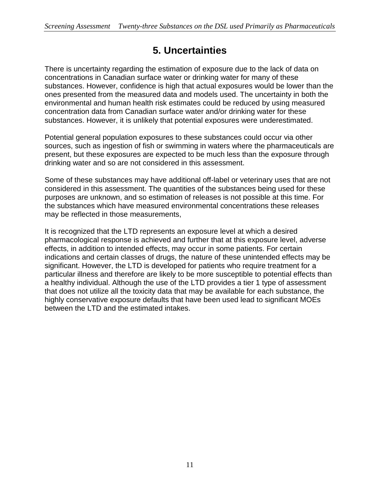## **5. Uncertainties**

There is uncertainty regarding the estimation of exposure due to the lack of data on concentrations in Canadian surface water or drinking water for many of these substances. However, confidence is high that actual exposures would be lower than the ones presented from the measured data and models used. The uncertainty in both the environmental and human health risk estimates could be reduced by using measured concentration data from Canadian surface water and/or drinking water for these substances. However, it is unlikely that potential exposures were underestimated.

Potential general population exposures to these substances could occur via other sources, such as ingestion of fish or swimming in waters where the pharmaceuticals are present, but these exposures are expected to be much less than the exposure through drinking water and so are not considered in this assessment.

Some of these substances may have additional off-label or veterinary uses that are not considered in this assessment. The quantities of the substances being used for these purposes are unknown, and so estimation of releases is not possible at this time. For the substances which have measured environmental concentrations these releases may be reflected in those measurements,

It is recognized that the LTD represents an exposure level at which a desired pharmacological response is achieved and further that at this exposure level, adverse effects, in addition to intended effects, may occur in some patients. For certain indications and certain classes of drugs, the nature of these unintended effects may be significant. However, the LTD is developed for patients who require treatment for a particular illness and therefore are likely to be more susceptible to potential effects than a healthy individual. Although the use of the LTD provides a tier 1 type of assessment that does not utilize all the toxicity data that may be available for each substance, the highly conservative exposure defaults that have been used lead to significant MOEs between the LTD and the estimated intakes.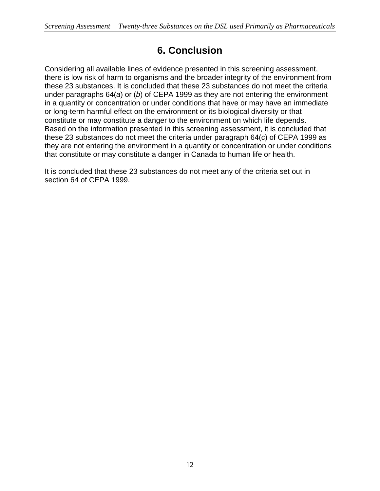## **6. Conclusion**

Considering all available lines of evidence presented in this screening assessment, there is low risk of harm to organisms and the broader integrity of the environment from these 23 substances. It is concluded that these 23 substances do not meet the criteria under paragraphs 64(*a*) or (*b*) of CEPA 1999 as they are not entering the environment in a quantity or concentration or under conditions that have or may have an immediate or long-term harmful effect on the environment or its biological diversity or that constitute or may constitute a danger to the environment on which life depends. Based on the information presented in this screening assessment, it is concluded that these 23 substances do not meet the criteria under paragraph 64(c) of CEPA 1999 as they are not entering the environment in a quantity or concentration or under conditions that constitute or may constitute a danger in Canada to human life or health.

It is concluded that these 23 substances do not meet any of the criteria set out in section 64 of CEPA 1999.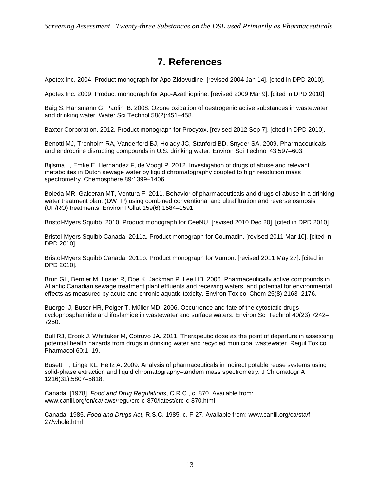## **7. References**

Apotex Inc. 2004. Product monograph for Apo-Zidovudine. [revised 2004 Jan 14]. [cited in DPD 2010].

Apotex Inc. 2009. Product monograph for Apo-Azathioprine. [revised 2009 Mar 9]. [cited in DPD 2010].

Baig S, Hansmann G, Paolini B. 2008. Ozone oxidation of oestrogenic active substances in wastewater and drinking water. Water Sci Technol 58(2):451–458.

Baxter Corporation. 2012. Product monograph for Procytox. [revised 2012 Sep 7]. [cited in DPD 2010].

Benotti MJ, Trenholm RA, Vanderford BJ, Holady JC, Stanford BD, Snyder SA. 2009. Pharmaceuticals and endrocrine disrupting compounds in U.S. drinking water. Environ Sci Technol 43:597–603.

Bijlsma L, Emke E, Hernandez F, de Voogt P. 2012. Investigation of drugs of abuse and relevant metabolites in Dutch sewage water by liquid chromatography coupled to high resolution mass spectrometry. Chemosphere 89:1399–1406.

Boleda MR, Galceran MT, Ventura F. 2011. Behavior of pharmaceuticals and drugs of abuse in a drinking water treatment plant (DWTP) using combined conventional and ultrafiltration and reverse osmosis (UF/RO) treatments. Environ Pollut 159(6):1584–1591.

Bristol-Myers Squibb. 2010. Product monograph for CeeNU. [revised 2010 Dec 20]. [cited in DPD 2010].

Bristol-Myers Squibb Canada. 2011a. Product monograph for Coumadin. [revised 2011 Mar 10]. [cited in DPD 2010].

Bristol-Myers Squibb Canada. 2011b. Product monograph for Vumon. [revised 2011 May 27]. [cited in DPD 2010].

Brun GL, Bernier M, Losier R, Doe K, Jackman P, Lee HB. 2006. Pharmaceutically active compounds in Atlantic Canadian sewage treatment plant effluents and receiving waters, and potential for environmental effects as measured by acute and chronic aquatic toxicity. Environ Toxicol Chem 25(8):2163–2176.

Buerge IJ, Buser HR, Poiger T, Müller MD. 2006. Occurrence and fate of the cytostatic drugs cyclophosphamide and ifosfamide in wastewater and surface waters. Environ Sci Technol 40(23):7242– 7250.

Bull RJ, Crook J, Whittaker M, Cotruvo JA. 2011. Therapeutic dose as the point of departure in assessing potential health hazards from drugs in drinking water and recycled municipal wastewater. Regul Toxicol Pharmacol 60:1–19.

Busetti F, Linge KL, Heitz A. 2009. Analysis of pharmaceuticals in indirect potable reuse systems using solid-phase extraction and liquid chromatography–tandem mass spectrometry. J Chromatogr A 1216(31):5807–5818.

Canada. [1978]. *Food and Drug Regulations*, C.R.C., c. 870. Available from: www.canlii.org/en/ca/laws/regu/crc-c-870/latest/crc-c-870.html

Canada. 1985. *Food and Drugs Act*, R.S.C. 1985, c. F-27. Available from: www.canlii.org/ca/sta/f-27/whole.html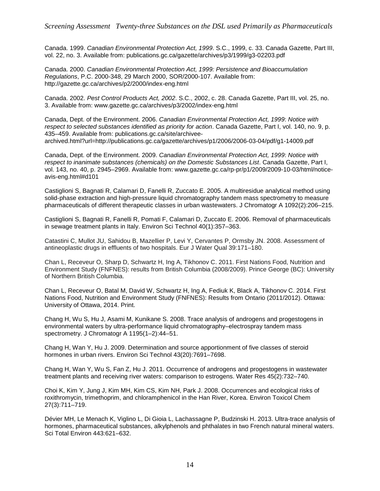Canada. 1999. *Canadian Environmental Protection Act, 1999*. S.C., 1999, c. 33. Canada Gazette, Part III, vol. 22, no. 3. Available from: publications.gc.ca/gazette/archives/p3/1999/g3-02203.pdf

Canada. 2000. *Canadian Environmental Protection Act, 1999: Persistence and Bioaccumulation Regulations*, P.C. 2000-348, 29 March 2000, SOR/2000-107. Available from: http://gazette.gc.ca/archives/p2/2000/index-eng.html

Canada. 2002. *Pest Control Products Act, 2002*. S.C., 2002, c. 28. Canada Gazette, Part III, vol. 25, no. 3. Available from: www.gazette.gc.ca/archives/p3/2002/index-eng.html

Canada, Dept. of the Environment. 2006. *Canadian Environmental Protection Act, 1999*: *Notice with respect to selected substances identified as priority for action*. Canada Gazette, Part I, vol. 140, no. 9, p. 435–459. Available from: [publications.gc.ca/site/archivee](http://publications.gc.ca/site/archivee-archived.html?url=http://publications.gc.ca/gazette/archives/p1/2006/2006-03-04/pdf/g1-14009.pdf)[archived.html?url=http://publications.gc.ca/gazette/archives/p1/2006/2006-03-04/pdf/g1-14009.pdf](http://publications.gc.ca/site/archivee-archived.html?url=http://publications.gc.ca/gazette/archives/p1/2006/2006-03-04/pdf/g1-14009.pdf)

Canada, Dept. of the Environment. 2009. *Canadian Environmental Protection Act, 1999*: *Notice with respect to inanimate substances (chemicals) on the Domestic Substances List*. Canada Gazette, Part I, vol. 143, no. 40, p. 2945–2969. Available from: www.gazette.gc.ca/rp-pr/p1/2009/2009-10-03/html/noticeavis-eng.html#d101

Castiglioni S, Bagnati R, Calamari D, Fanelli R, Zuccato E. 2005. A multiresidue analytical method using solid-phase extraction and high-pressure liquid chromatography tandem mass spectrometry to measure pharmaceuticals of different therapeutic classes in urban wastewaters. J Chromatogr A 1092(2):206–215.

Castiglioni S, Bagnati R, Fanelli R, Pomati F, Calamari D, Zuccato E. 2006. Removal of pharmaceuticals in sewage treatment plants in Italy. Environ Sci Technol 40(1):357–363.

Catastini C, Mullot JU, Sahidou B, Mazellier P, Levi Y, Cervantes P, Ormsby JN. 2008. Assessment of antineoplastic drugs in effluents of two hospitals. Eur J Water Qual 39:171–180.

Chan L, Receveur O, Sharp D, Schwartz H, Ing A, Tikhonov C. 2011. First Nations Food, Nutrition and Environment Study (FNFNES): results from British Columbia (2008/2009). Prince George (BC): University of Northern British Columbia.

Chan L, Receveur O, Batal M, David W, Schwartz H, Ing A, Fediuk K, Black A, Tikhonov C. 2014. First Nations Food, Nutrition and Environment Study (FNFNES): Results from Ontario (2011/2012). Ottawa: University of Ottawa, 2014. Print.

Chang H, Wu S, Hu J, Asami M, Kunikane S. 2008. Trace analysis of androgens and progestogens in environmental waters by ultra-performance liquid chromatography–electrospray tandem mass spectrometry. J Chromatogr A 1195(1–2):44–51.

Chang H, Wan Y, Hu J. 2009. Determination and source apportionment of five classes of steroid hormones in urban rivers. Environ Sci Technol 43(20):7691–7698.

Chang H, Wan Y, Wu S, Fan Z, Hu J. 2011. Occurrence of androgens and progestogens in wastewater treatment plants and receiving river waters: comparison to estrogens. Water Res 45(2):732–740.

Choi K, Kim Y, Jung J, Kim MH, Kim CS, Kim NH, Park J. 2008. Occurrences and ecological risks of roxithromycin, trimethoprim, and chloramphenicol in the Han River, Korea. Environ Toxicol Chem 27(3):711–719.

Dévier MH, Le Menach K, Viglino L, Di Gioia L, Lachassagne P, Budzinski H. 2013. Ultra-trace analysis of hormones, pharmaceutical substances, alkylphenols and phthalates in two French natural mineral waters. Sci Total Environ 443:621–632.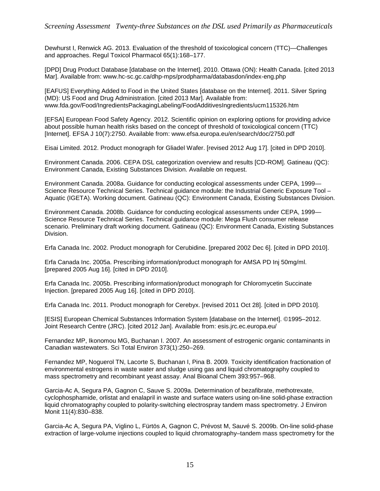Dewhurst I, Renwick AG. 2013. Evaluation of the threshold of toxicological concern (TTC)—Challenges and approaches. Regul Toxicol Pharmacol 65(1):168–177.

[DPD] Drug Product Database [database on the Internet]. 2010. Ottawa (ON): Health Canada. [cited 2013 Mar]. Available from: www.hc-sc.gc.ca/dhp-mps/prodpharma/databasdon/index-eng.php

[EAFUS] Everything Added to Food in the United States [database on the Internet]. 2011. Silver Spring (MD): US Food and Drug Administration. [cited 2013 Mar]. Available from: www.fda.gov/Food/IngredientsPackagingLabeling/FoodAdditivesIngredients/ucm115326.htm

[EFSA] European Food Safety Agency. 2012. Scientific opinion on exploring options for providing advice about possible human health risks based on the concept of threshold of toxicological concern (TTC) [Internet]. EFSA J 10(7):2750. Available from: www.efsa.europa.eu/en/search/doc/2750.pdf

Eisai Limited. 2012. Product monograph for Gliadel Wafer. [revised 2012 Aug 17]. [cited in DPD 2010].

Environment Canada. 2006. CEPA DSL categorization overview and results [CD-ROM]. Gatineau (QC): Environment Canada, Existing Substances Division. Available on request.

Environment Canada. 2008a. Guidance for conducting ecological assessments under CEPA, 1999— Science Resource Technical Series. Technical guidance module: the Industrial Generic Exposure Tool – Aquatic (IGETA). Working document. Gatineau (QC): Environment Canada, Existing Substances Division.

Environment Canada. 2008b. Guidance for conducting ecological assessments under CEPA, 1999— Science Resource Technical Series. Technical guidance module: Mega Flush consumer release scenario. Preliminary draft working document. Gatineau (QC): Environment Canada, Existing Substances Division.

Erfa Canada Inc. 2002. Product monograph for Cerubidine. [prepared 2002 Dec 6]. [cited in DPD 2010].

Erfa Canada Inc. 2005a. Prescribing information/product monograph for AMSA PD Inj 50mg/ml. [prepared 2005 Aug 16]. [cited in DPD 2010].

Erfa Canada Inc. 2005b. Prescribing information/product monograph for Chloromycetin Succinate Injection. [prepared 2005 Aug 16]. [cited in DPD 2010].

Erfa Canada Inc. 2011. Product monograph for Cerebyx. [revised 2011 Oct 28]. [cited in DPD 2010].

[ESIS] European Chemical Substances Information System [database on the Internet]. ©1995–2012. Joint Research Centre (JRC). [cited 2012 Jan]. Available from: esis.jrc.ec.europa.eu/

Fernandez MP, Ikonomou MG, Buchanan I. 2007. An assessment of estrogenic organic contaminants in Canadian wastewaters. Sci Total Environ 373(1):250–269.

Fernandez MP, Noguerol TN, Lacorte S, Buchanan I, Pina B. 2009. Toxicity identification fractionation of environmental estrogens in waste water and sludge using gas and liquid chromatography coupled to mass spectrometry and recombinant yeast assay. Anal Bioanal Chem 393:957–968.

Garcia-Ac A, Segura PA, Gagnon C, Sauve S. 2009a. Determination of bezafibrate, methotrexate, cyclophosphamide, orlistat and enalapril in waste and surface waters using on-line solid-phase extraction liquid chromatography coupled to polarity-switching electrospray tandem mass spectrometry. J Environ Monit 11(4):830–838.

Garcia-Ac A, Segura PA, Viglino L, Fürtös A, Gagnon C, Prévost M, Sauvé S. 2009b. On-line solid-phase extraction of large-volume injections coupled to liquid chromatography–tandem mass spectrometry for the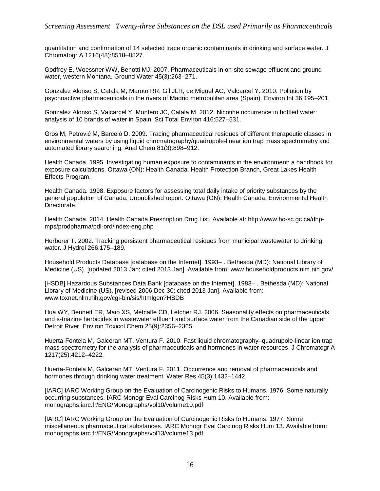quantitation and confirmation of 14 selected trace organic contaminants in drinking and surface water. J Chromatogr A 1216(48):8518–8527.

Godfrey E, Woessner WW, Benotti MJ. 2007. Pharmaceuticals in on-site sewage effluent and ground water, western Montana. Ground Water 45(3):263–271.

Gonzalez Alonso S, Catala M, Maroto RR, Gil JLR, de Miguel AG, Valcarcel Y. 2010. Pollution by psychoactive pharmaceuticals in the rivers of Madrid metropolitan area (Spain). Environ Int 36:195–201.

Gonzalez Alonso S, Valcarcel Y, Montero JC, Catala M. 2012. Nicotine occurrence in bottled water: analysis of 10 brands of water in Spain. Sci Total Environ 416:527–531.

Gros M, Petrović M, Barceló D. 2009. Tracing pharmaceutical residues of different therapeutic classes in environmental waters by using liquid chromatography/quadrupole-linear ion trap mass spectrometry and automated library searching. Anal Chem 81(3):898–912.

Health Canada. 1995. Investigating human exposure to contaminants in the environment: a handbook for exposure calculations. Ottawa (ON): Health Canada, Health Protection Branch, Great Lakes Health Effects Program.

Health Canada. 1998. Exposure factors for assessing total daily intake of priority substances by the general population of Canada. Unpublished report. Ottawa (ON): Health Canada, Environmental Health Directorate.

Health Canada. 2014. Health Canada Prescription Drug List. Available at: http://www.hc-sc.gc.ca/dhpmps/prodpharma/pdl-ord/index-eng.php

Herberer T. 2002. Tracking persistent pharmaceutical residues from municipal wastewater to drinking water. J Hydrol 266:175–189.

Household Products Database [database on the Internet]. 1993– . Bethesda (MD): National Library of Medicine (US). [updated 2013 Jan; cited 2013 Jan]. Available from: www.householdproducts.nlm.nih.gov/

[HSDB] Hazardous Substances Data Bank [database on the Internet]. 1983– . Bethesda (MD): National Library of Medicine (US). [revised 2006 Dec 30; cited 2013 Jan]. Available from: [www.toxnet.nlm.nih.gov/cgi-bin/sis/htmlgen?HSDB](http://toxnet.nlm.nih.gov/cgi-bin/sis/htmlgen?HSDB)

Hua WY, Bennett ER, Maio XS, Metcalfe CD, Letcher RJ. 2006. Seasonality effects on pharmaceuticals and s-triazine herbicides in wastewater effluent and surface water from the Canadian side of the upper Detroit River. Environ Toxicol Chem 25(9):2356–2365.

Huerta-Fontela M, Galceran MT, Ventura F. 2010. Fast liquid chromatography–quadrupole-linear ion trap mass spectrometry for the analysis of pharmaceuticals and hormones in water resources. J Chromatogr A 1217(25):4212–4222.

Huerta-Fontela M, Galceran MT, Ventura F. 2011. Occurrence and removal of pharmaceuticals and hormones through drinking water treatment. Water Res 45(3):1432–1442.

[IARC] IARC Working Group on the Evaluation of Carcinogenic Risks to Humans. 1976. Some naturally occurring substances. IARC Monogr Eval Carcinog Risks Hum 10. Available from: monographs.iarc.fr/ENG/Monographs/vol10/volume10.pdf

[IARC] IARC Working Group on the Evaluation of Carcinogenic Risks to Humans. 1977. Some miscellaneous pharmaceutical substances. IARC Monogr Eval Carcinog Risks Hum 13. Available from: monographs.iarc.fr/ENG/Monographs/vol13/volume13.pdf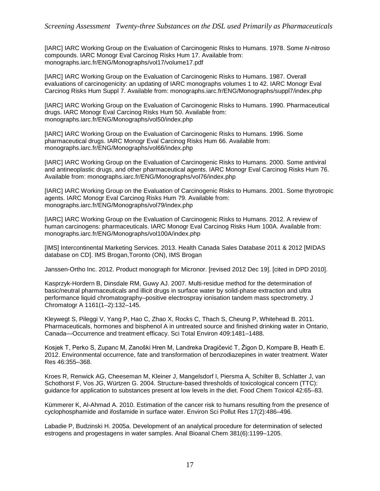[IARC] IARC Working Group on the Evaluation of Carcinogenic Risks to Humans. 1978. Some *N*-nitroso compounds. IARC Monogr Eval Carcinog Risks Hum 17. Available from: monographs.iarc.fr/ENG/Monographs/vol17/volume17.pdf

[IARC] IARC Working Group on the Evaluation of Carcinogenic Risks to Humans. 1987. Overall evaluations of carcinogenicity: an updating of IARC monographs volumes 1 to 42. IARC Monogr Eval Carcinog Risks Hum Suppl 7. Available from: monographs.iarc.fr/ENG/Monographs/suppl7/index.php

[IARC] IARC Working Group on the Evaluation of Carcinogenic Risks to Humans. 1990. Pharmaceutical drugs. IARC Monogr Eval Carcinog Risks Hum 50. Available from: monographs.iarc.fr/ENG/Monographs/vol50/index.php

[IARC] IARC Working Group on the Evaluation of Carcinogenic Risks to Humans. 1996. Some pharmaceutical drugs. IARC Monogr Eval Carcinog Risks Hum 66. Available from: monographs.iarc.fr/ENG/Monographs/vol66/index.php

[IARC] IARC Working Group on the Evaluation of Carcinogenic Risks to Humans. 2000. Some antiviral and antineoplastic drugs, and other pharmaceutical agents. IARC Monogr Eval Carcinog Risks Hum 76. Available from: monographs.iarc.fr/ENG/Monographs/vol76/index.php

[IARC] IARC Working Group on the Evaluation of Carcinogenic Risks to Humans. 2001. Some thyrotropic agents. IARC Monogr Eval Carcinog Risks Hum 79. Available from: monographs.iarc.fr/ENG/Monographs/vol79/index.php

[IARC] IARC Working Group on the Evaluation of Carcinogenic Risks to Humans. 2012. A review of human carcinogens: pharmaceuticals. IARC Monogr Eval Carcinog Risks Hum 100A. Available from: monographs.iarc.fr/ENG/Monographs/vol100A/index.php

[IMS] Intercontinental Marketing Services. 2013. Health Canada Sales Database 2011 & 2012 [MIDAS database on CD]. IMS Brogan,Toronto (ON), IMS Brogan

Janssen-Ortho Inc. 2012. Product monograph for Micronor. [revised 2012 Dec 19]. [cited in DPD 2010].

Kasprzyk-Hordern B, Dinsdale RM, Guwy AJ. 2007. Multi-residue method for the determination of basic/neutral pharmaceuticals and illicit drugs in surface water by solid-phase extraction and ultra performance liquid chromatography–positive electrospray ionisation tandem mass spectrometry. J Chromatogr A 1161(1–2):132–145.

Kleywegt S, Pileggi V, Yang P, Hao C, Zhao X, Rocks C, Thach S, Cheung P, Whitehead B. 2011. Pharmaceuticals, hormones and bisphenol A in untreated source and finished drinking water in Ontario, Canada—Occurrence and treatment efficacy. Sci Total Environ 409:1481–1488.

Kosjek T, Perko S, Zupanc M, Zanoški Hren M, Landreka Dragičević T, Žigon D, Kompare B, Heath E. 2012. Environmental occurrence, fate and transformation of benzodiazepines in water treatment. Water Res 46:355–368.

Kroes R, Renwick AG, Cheeseman M, Kleiner J, Mangelsdorf I, Piersma A, Schilter B, Schlatter J, van Schothorst F, Vos JG, Würtzen G. 2004. Structure-based thresholds of toxicological concern (TTC): guidance for application to substances present at low levels in the diet. Food Chem Toxicol 42:65–83.

Kümmerer K, Al-Ahmad A. 2010. Estimation of the cancer risk to humans resulting from the presence of cyclophosphamide and ifosfamide in surface water. Environ Sci Pollut Res 17(2):486–496.

Labadie P, Budzinski H. 2005a. Development of an analytical procedure for determination of selected estrogens and progestagens in water samples. Anal Bioanal Chem 381(6):1199–1205.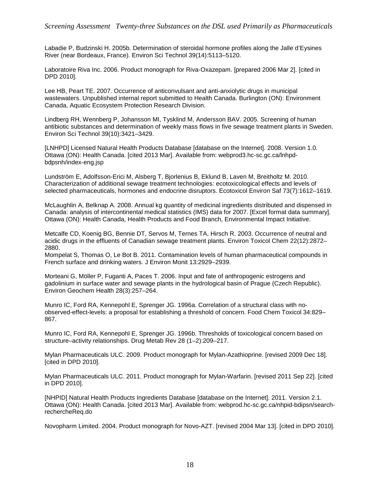Labadie P, Budzinski H. 2005b. Determination of steroidal hormone profiles along the Jalle d'Eysines River (near Bordeaux, France). Environ Sci Technol 39(14):5113–5120.

Laboratoire Riva Inc. 2006. Product monograph for Riva-Oxazepam. [prepared 2006 Mar 2]. [cited in DPD 2010].

Lee HB, Peart TE. 2007. Occurrence of anticonvulsant and anti-anxiolytic drugs in municipal wastewaters. Unpublished internal report submitted to Health Canada. Burlington (ON): Environment Canada, Aquatic Ecosystem Protection Research Division.

Lindberg RH, Wennberg P, Johansson MI, Tysklind M, Andersson BAV. 2005. Screening of human antibiotic substances and determination of weekly mass flows in five sewage treatment plants in Sweden. Environ Sci Technol 39(10):3421–3429.

[LNHPD] Licensed Natural Health Products Database [database on the Internet]. 2008. Version 1.0. Ottawa (ON): Health Canada. [cited 2013 Mar]. Available from: webprod3.hc-sc.gc.ca/lnhpdbdpsnh/index-eng.jsp

Lundström E, Adolfsson-Erici M, Alsberg T, Bjorlenius B, Eklund B, Laven M, Breitholtz M. 2010. Characterization of additional sewage treatment technologies: ecotoxicological effects and levels of selected pharmaceuticals, hormones and endocrine disruptors. Ecotoxicol Environ Saf 73(7):1612–1619.

McLaughlin A, Belknap A. 2008. Annual kg quantity of medicinal ingredients distributed and dispensed in Canada: analysis of intercontinental medical statistics (IMS) data for 2007. [Excel format data summary]. Ottawa (ON): Health Canada, Health Products and Food Branch, Environmental Impact Initiative.

Metcalfe CD, Koenig BG, Bennie DT, Servos M, Ternes TA, Hirsch R. 2003. Occurrence of neutral and acidic drugs in the effluents of Canadian sewage treatment plants. Environ Toxicol Chem 22(12):2872– 2880.

Mompelat S, Thomas O, Le Bot B. 2011. Contamination levels of human pharmaceutical compounds in French surface and drinking waters. J Environ Monit 13:2929–2939.

Morteani G, Möller P, Fuganti A, Paces T. 2006. Input and fate of anthropogenic estrogens and gadolinium in surface water and sewage plants in the hydrological basin of Prague (Czech Republic). Environ Geochem Health 28(3):257–264.

Munro IC, Ford RA, Kennepohl E, Sprenger JG. 1996a. Correlation of a structural class with noobserved-effect-levels: a proposal for establishing a threshold of concern. Food Chem Toxicol 34:829– 867.

Munro IC, Ford RA, Kennepohl E, Sprenger JG. 1996b. Thresholds of toxicological concern based on structure–activity relationships. Drug Metab Rev 28 (1–2):209–217.

Mylan Pharmaceuticals ULC. 2009. Product monograph for Mylan-Azathioprine. [revised 2009 Dec 18]. [cited in DPD 2010].

Mylan Pharmaceuticals ULC. 2011. Product monograph for Mylan-Warfarin. [revised 2011 Sep 22]. [cited in DPD 2010].

[NHPID] Natural Health Products Ingredients Database [database on the Internet]. 2011. Version 2.1. Ottawa (ON): Health Canada. [cited 2013 Mar]. Available from: webprod.hc-sc.gc.ca/nhpid-bdipsn/searchrechercheReq.do

Novopharm Limited. 2004. Product monograph for Novo-AZT. [revised 2004 Mar 13]. [cited in DPD 2010].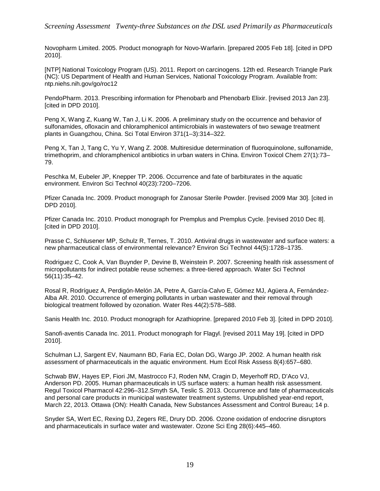*Screening Assessment Twenty-three Substances on the DSL used Primarily as Pharmaceuticals*

Novopharm Limited. 2005. Product monograph for Novo-Warfarin. [prepared 2005 Feb 18]. [cited in DPD 2010].

[NTP] National Toxicology Program (US). 2011. Report on carcinogens. 12th ed. Research Triangle Park (NC): US Department of Health and Human Services, National Toxicology Program. Available from: ntp.niehs.nih.gov/go/roc12

PendoPharm. 2013. Prescribing information for Phenobarb and Phenobarb Elixir. [revised 2013 Jan 23]. [cited in DPD 2010].

Peng X, Wang Z, Kuang W, Tan J, Li K. 2006. A preliminary study on the occurrence and behavior of sulfonamides, ofloxacin and chloramphenicol antimicrobials in wastewaters of two sewage treatment plants in Guangzhou, China. Sci Total Environ 371(1–3):314–322.

Peng X, Tan J, Tang C, Yu Y, Wang Z. 2008. Multiresidue determination of fluoroquinolone, sulfonamide, trimethoprim, and chloramphenicol antibiotics in urban waters in China. Environ Toxicol Chem 27(1):73– 79.

Peschka M, Eubeler JP, Knepper TP. 2006. Occurrence and fate of barbiturates in the aquatic environment. Environ Sci Technol 40(23):7200–7206.

Pfizer Canada Inc. 2009. Product monograph for Zanosar Sterile Powder. [revised 2009 Mar 30]. [cited in DPD 2010].

Pfizer Canada Inc. 2010. Product monograph for Premplus and Premplus Cycle. [revised 2010 Dec 8]. [cited in DPD 2010].

Prasse C, Schlusener MP, Schulz R, Ternes, T. 2010. Antiviral drugs in wastewater and surface waters: a new pharmaceutical class of environmental relevance? Environ Sci Technol 44(5):1728–1735.

Rodriguez C, Cook A, Van Buynder P, Devine B, Weinstein P. 2007. Screening health risk assessment of micropollutants for indirect potable reuse schemes: a three-tiered approach. Water Sci Technol 56(11):35–42.

Rosal R, Rodríguez A, Perdigón-Melón JA, Petre A, García-Calvo E, Gómez MJ, Agüera A, Fernández-Alba AR. 2010. Occurrence of emerging pollutants in urban wastewater and their removal through biological treatment followed by ozonation. Water Res 44(2):578–588.

Sanis Health Inc. 2010. Product monograph for Azathioprine. [prepared 2010 Feb 3]. [cited in DPD 2010].

Sanofi-aventis Canada Inc. 2011. Product monograph for Flagyl. [revised 2011 May 19]. [cited in DPD 2010].

Schulman LJ, Sargent EV, Naumann BD, Faria EC, Dolan DG, Wargo JP. 2002. A human health risk assessment of pharmaceuticals in the aquatic environment. Hum Ecol Risk Assess 8(4):657–680.

Schwab BW, Hayes EP, Fiori JM, Mastrocco FJ, Roden NM, Cragin D, Meyerhoff RD, D'Aco VJ, Anderson PD. 2005. Human pharmaceuticals in US surface waters: a human health risk assessment. Regul Toxicol Pharmacol 42:296–312.Smyth SA, Teslic S. 2013. Occurrence and fate of pharmaceuticals and personal care products in municipal wastewater treatment systems. Unpublished year-end report, March 22, 2013. Ottawa (ON): Health Canada, New Substances Assessment and Control Bureau; 14 p.

Snyder SA, Wert EC, Rexing DJ, Zegers RE, Drury DD. 2006. Ozone oxidation of endocrine disruptors and pharmaceuticals in surface water and wastewater. Ozone Sci Eng 28(6):445–460.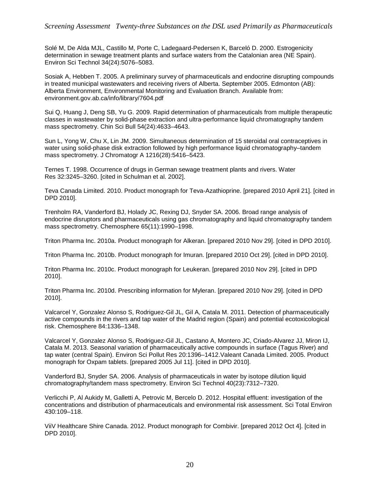Solé M, De Alda MJL, Castillo M, Porte C, Ladegaard-Pedersen K, Barceló D. 2000. Estrogenicity determination in sewage treatment plants and surface waters from the Catalonian area (NE Spain). Environ Sci Technol 34(24):5076–5083.

Sosiak A, Hebben T. 2005. A preliminary survey of pharmaceuticals and endocrine disrupting compounds in treated municipal wastewaters and receiving rivers of Alberta. September 2005. Edmonton (AB): Alberta Environment, Environmental Monitoring and Evaluation Branch. Available from: environment.gov.ab.ca/info/library/7604.pdf

Sui Q, Huang J, Deng SB, Yu G. 2009. Rapid determination of pharmaceuticals from multiple therapeutic classes in wastewater by solid-phase extraction and ultra-performance liquid chromatography tandem mass spectrometry. Chin Sci Bull 54(24):4633–4643.

Sun L, Yong W, Chu X, Lin JM. 2009. Simultaneous determination of 15 steroidal oral contraceptives in water using solid-phase disk extraction followed by high performance liquid chromatography–tandem mass spectrometry. J Chromatogr A 1216(28):5416–5423.

Ternes T. 1998. Occurrence of drugs in German sewage treatment plants and rivers. Water Res 32:3245–3260. [cited in Schulman et al. 2002].

Teva Canada Limited. 2010. Product monograph for Teva-Azathioprine. [prepared 2010 April 21]. [cited in DPD 2010].

Trenholm RA, Vanderford BJ, Holady JC, Rexing DJ, Snyder SA. 2006. Broad range analysis of endocrine disruptors and pharmaceuticals using gas chromatography and liquid chromatography tandem mass spectrometry. Chemosphere 65(11):1990–1998.

Triton Pharma Inc. 2010a. Product monograph for Alkeran. [prepared 2010 Nov 29]. [cited in DPD 2010].

Triton Pharma Inc. 2010b. Product monograph for Imuran. [prepared 2010 Oct 29]. [cited in DPD 2010].

Triton Pharma Inc. 2010c. Product monograph for Leukeran. [prepared 2010 Nov 29]. [cited in DPD 2010].

Triton Pharma Inc. 2010d. Prescribing information for Myleran. [prepared 2010 Nov 29]. [cited in DPD 2010].

Valcarcel Y, Gonzalez Alonso S, Rodriguez-Gil JL, Gil A, Catala M. 2011. Detection of pharmaceutically active compounds in the rivers and tap water of the Madrid region (Spain) and potential ecotoxicological risk. Chemosphere 84:1336–1348.

Valcarcel Y, Gonzalez Alonso S, Rodriguez-Gil JL, Castano A, Montero JC, Criado-Alvarez JJ, Miron IJ, Catala M. 2013. Seasonal variation of pharmaceutically active compounds in surface (Tagus River) and tap water (central Spain). Environ Sci Pollut Res 20:1396–1412.Valeant Canada Limited. 2005. Product monograph for Oxpam tablets. [prepared 2005 Jul 11]. [cited in DPD 2010].

Vanderford BJ, Snyder SA. 2006. Analysis of pharmaceuticals in water by isotope dilution liquid chromatography/tandem mass spectrometry. Environ Sci Technol 40(23):7312–7320.

Verlicchi P, Al Aukidy M, Galletti A, Petrovic M, Bercelo D. 2012. Hospital effluent: investigation of the concentrations and distribution of pharmaceuticals and environmental risk assessment. Sci Total Environ 430:109–118.

ViiV Healthcare Shire Canada. 2012. Product monograph for Combivir. [prepared 2012 Oct 4]. [cited in DPD 2010].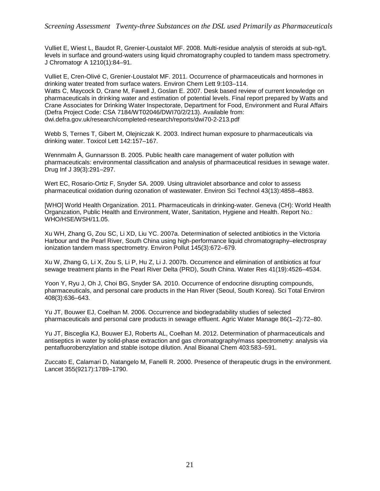Vulliet E, Wiest L, Baudot R, Grenier-Loustalot MF. 2008. Multi-residue analysis of steroids at sub-ng/L levels in surface and ground-waters using liquid chromatography coupled to tandem mass spectrometry. J Chromatogr A 1210(1):84–91.

Vulliet E, Cren-Olivé C, Grenier-Loustalot MF. 2011. Occurrence of pharmaceuticals and hormones in drinking water treated from surface waters. Environ Chem Lett 9:103–114. Watts C, Maycock D, Crane M, Fawell J, Goslan E. 2007. Desk based review of current knowledge on pharmaceuticals in drinking water and estimation of potential levels. Final report prepared by Watts and Crane Associates for Drinking Water Inspectorate, Department for Food, Environment and Rural Affairs (Defra Project Code: CSA 7184/WT02046/DWI70/2/213). Available from: dwi.defra.gov.uk/research/completed-research/reports/dwi70-2-213.pdf

Webb S, Ternes T, Gibert M, Olejniczak K. 2003. Indirect human exposure to pharmaceuticals via drinking water. Toxicol Lett 142:157–167.

Wennmalm Å, Gunnarsson B. 2005. Public health care management of water pollution with pharmaceuticals: environmental classification and analysis of pharmaceutical residues in sewage water. Drug Inf J 39(3):291–297.

Wert EC, Rosario-Ortiz F, Snyder SA. 2009. Using ultraviolet absorbance and color to assess pharmaceutical oxidation during ozonation of wastewater. Environ Sci Technol 43(13):4858–4863.

[WHO] World Health Organization. 2011. Pharmaceuticals in drinking-water. Geneva (CH): World Health Organization, Public Health and Environment, Water, Sanitation, Hygiene and Health. Report No.: WHO/HSE/WSH/11.05.

Xu WH, Zhang G, Zou SC, Li XD, Liu YC. 2007a. Determination of selected antibiotics in the Victoria Harbour and the Pearl River, South China using high-performance liquid chromatography–electrospray ionization tandem mass spectrometry. Environ Pollut 145(3):672–679.

Xu W, Zhang G, Li X, Zou S, Li P, Hu Z, Li J. 2007b. Occurrence and elimination of antibiotics at four sewage treatment plants in the Pearl River Delta (PRD), South China. Water Res 41(19):4526–4534.

Yoon Y, Ryu J, Oh J, Choi BG, Snyder SA. 2010. Occurrence of endocrine disrupting compounds, pharmaceuticals, and personal care products in the Han River (Seoul, South Korea). Sci Total Environ 408(3):636–643.

Yu JT, Bouwer EJ, Coelhan M. 2006. Occurrence and biodegradability studies of selected pharmaceuticals and personal care products in sewage effluent. Agric Water Manage 86(1–2):72–80.

Yu JT, Bisceglia KJ, Bouwer EJ, Roberts AL, Coelhan M. 2012. Determination of pharmaceuticals and antiseptics in water by solid-phase extraction and gas chromatography/mass spectrometry: analysis via pentafluorobenzylation and stable isotope dilution. Anal Bioanal Chem 403:583–591.

Zuccato E, Calamari D, Natangelo M, Fanelli R. 2000. Presence of therapeutic drugs in the environment. Lancet 355(9217):1789–1790.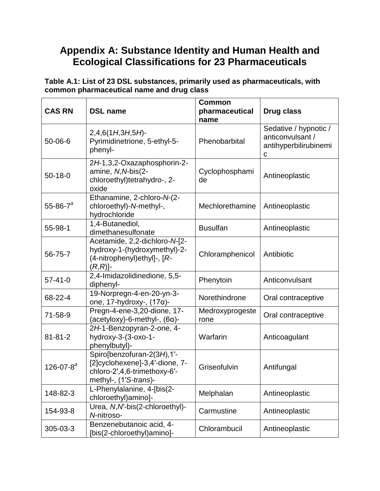## **Appendix A: Substance Identity and Human Health and Ecological Classifications for 23 Pharmaceuticals**

**Table A.1: List of 23 DSL substances, primarily used as pharmaceuticals, with common pharmaceutical name and drug class**

| <b>CAS RN</b>        | <b>DSL name</b>                                                                                                       | <b>Common</b><br>pharmaceutical<br>name | <b>Drug class</b>                                                       |
|----------------------|-----------------------------------------------------------------------------------------------------------------------|-----------------------------------------|-------------------------------------------------------------------------|
| 50-06-6              | $2,4,6(1H,3H,5H)$ -<br>Pyrimidinetrione, 5-ethyl-5-<br>phenyl-                                                        | Phenobarbital                           | Sedative / hypnotic /<br>anticonvulsant /<br>antihyperbilirubinemi<br>С |
| $50-18-0$            | 2H-1,3,2-Oxazaphosphorin-2-<br>amine, N, N-bis(2-<br>chloroethyl)tetrahydro-, 2-<br>oxide                             | Cyclophosphami<br>de                    | Antineoplastic                                                          |
| 55-86-7 <sup>a</sup> | Ethanamine, 2-chloro-N-(2-<br>chloroethyl)-N-methyl-,<br>hydrochloride                                                | Mechlorethamine                         | Antineoplastic                                                          |
| 55-98-1              | 1,4-Butanediol,<br>dimethanesulfonate                                                                                 | <b>Busulfan</b>                         | Antineoplastic                                                          |
| 56-75-7              | Acetamide, 2,2-dichloro-N-[2-<br>hydroxy-1-(hydroxymethyl)-2-<br>(4-nitrophenyl)ethyl]-, [R-<br>$(R,R)$ ]-            | Chloramphenicol                         | Antibiotic                                                              |
| $57 - 41 - 0$        | 2,4-Imidazolidinedione, 5,5-<br>diphenyl-                                                                             | Phenytoin                               | Anticonvulsant                                                          |
| 68-22-4              | 19-Norpregn-4-en-20-yn-3-<br>one, 17-hydroxy-, $(17\alpha)$ -                                                         | Norethindrone                           | Oral contraceptive                                                      |
| 71-58-9              | Pregn-4-ene-3,20-dione, 17-<br>$(\text{acetyloxy})$ -6-methyl-, $(6\alpha)$ -                                         | Medroxyprogeste<br>rone                 | Oral contraceptive                                                      |
| $81 - 81 - 2$        | 2H-1-Benzopyran-2-one, 4-<br>hydroxy-3-(3-oxo-1-<br>phenylbutyl)-                                                     | Warfarin                                | Anticoagulant                                                           |
| 126-07-8 $a^a$       | Spiro[benzofuran-2(3H),1'-<br>[2]cyclohexene]-3,4'-dione, 7-<br>chloro-2',4,6-trimethoxy-6'-<br>methyl-, (1'S-trans)- | Griseofulvin                            | Antifungal                                                              |
| 148-82-3             | L-Phenylalanine, 4-[bis(2-<br>chloroethyl) amino]-                                                                    | Melphalan                               | Antineoplastic                                                          |
| 154-93-8             | Urea, N, N'-bis(2-chloroethyl)-<br>N-nitroso-                                                                         | Carmustine                              | Antineoplastic                                                          |
| 305-03-3             | Benzenebutanoic acid, 4-<br>[bis(2-chloroethyl)amino]-                                                                | Chlorambucil                            | Antineoplastic                                                          |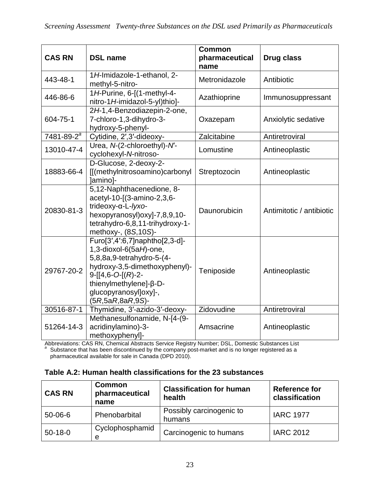| <b>CAS RN</b>     | <b>DSL name</b>                                                                                                                                                                                                     | <b>Common</b><br>pharmaceutical<br>name | Drug class               |  |
|-------------------|---------------------------------------------------------------------------------------------------------------------------------------------------------------------------------------------------------------------|-----------------------------------------|--------------------------|--|
| 443-48-1          | 1H-Imidazole-1-ethanol, 2-<br>methyl-5-nitro-                                                                                                                                                                       | Metronidazole                           | Antibiotic               |  |
| 446-86-6          | 1H-Purine, 6-[(1-methyl-4-<br>nitro-1H-imidazol-5-yl)thio]-                                                                                                                                                         | Azathioprine                            | Immunosuppressant        |  |
| 604-75-1          | 2H-1,4-Benzodiazepin-2-one,<br>7-chloro-1,3-dihydro-3-<br>hydroxy-5-phenyl-                                                                                                                                         | Oxazepam                                | Anxiolytic sedative      |  |
| $7481 - 89 - 2^a$ | Cytidine, 2', 3'-dideoxy-                                                                                                                                                                                           | Zalcitabine                             | Antiretroviral           |  |
| 13010-47-4        | Urea, N-(2-chloroethyl)-N'-<br>cyclohexyl-N-nitroso-                                                                                                                                                                | Lomustine                               | Antineoplastic           |  |
| 18883-66-4        | D-Glucose, 2-deoxy-2-<br>[[(methylnitrosoamino)carbonyl<br>]amino]-                                                                                                                                                 | Streptozocin                            | Antineoplastic           |  |
| 20830-81-3        | 5,12-Naphthacenedione, 8-<br>acetyl-10-[(3-amino-2,3,6-<br>trideoxy-α-L-lyxo-<br>hexopyranosyl)oxyl-7,8,9,10-<br>tetrahydro-6,8,11-trihydroxy-1-<br>methoxy-, (8S,10S)-                                             | Daunorubicin                            | Antimitotic / antibiotic |  |
| 29767-20-2        | Furo[3',4':6,7]naphtho[2,3-d]-<br>1,3-dioxol-6(5aH)-one,<br>5,8,8a,9-tetrahydro-5-(4-<br>hydroxy-3,5-dimethoxyphenyl)-<br>$9-[14,6-O-[R)-2-$<br>thienylmethylene]-β-D-<br>glucopyranosyl]oxy]-,<br>(5R,5aR,8aR,9S)- | Teniposide                              | Antineoplastic           |  |
| 30516-87-1        | Thymidine, 3'-azido-3'-deoxy-                                                                                                                                                                                       | Zidovudine                              | Antiretroviral           |  |
| 51264-14-3        | Methanesulfonamide, N-[4-(9-<br>acridinylamino)-3-<br>methoxyphenyl]-                                                                                                                                               | Amsacrine                               | Antineoplastic           |  |

Abbreviations: CAS RN, Chemical Abstracts Service Registry Number; DSL, Domestic Substances List *<sup>a</sup>* Substance that has been discontinued by the company post-market and is no longer registered as a pharmaceutical available for sale in Canada (DPD 2010).

#### **Table A.2: Human health classifications for the 23 substances**

| <b>CAS RN</b> | <b>Common</b><br>pharmaceutical<br>name | <b>Classification for human</b><br>health | <b>Reference for</b><br>classification |
|---------------|-----------------------------------------|-------------------------------------------|----------------------------------------|
| $50 - 06 - 6$ | Phenobarbital                           | Possibly carcinogenic to<br>humans        | <b>IARC 1977</b>                       |
| $50 - 18 - 0$ | Cyclophosphamid<br>e                    | Carcinogenic to humans                    | <b>IARC 2012</b>                       |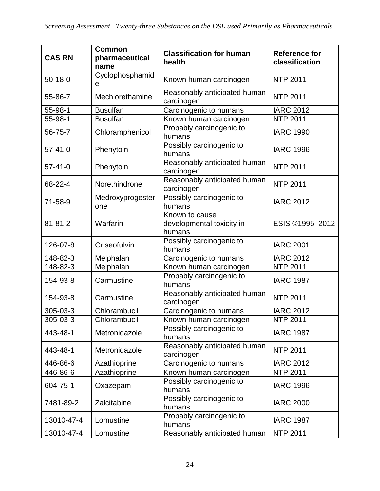| <b>CAS RN</b> | <b>Common</b><br>pharmaceutical<br>name | <b>Classification for human</b><br>health             | <b>Reference for</b><br>classification |
|---------------|-----------------------------------------|-------------------------------------------------------|----------------------------------------|
| $50 - 18 - 0$ | Cyclophosphamid<br>е                    | Known human carcinogen                                | <b>NTP 2011</b>                        |
| 55-86-7       | Mechlorethamine                         | Reasonably anticipated human<br>carcinogen            | <b>NTP 2011</b>                        |
| 55-98-1       | <b>Busulfan</b>                         | Carcinogenic to humans                                | <b>IARC 2012</b>                       |
| 55-98-1       | <b>Busulfan</b>                         | Known human carcinogen                                | <b>NTP 2011</b>                        |
| 56-75-7       | Chloramphenicol                         | Probably carcinogenic to<br>humans                    | <b>IARC 1990</b>                       |
| $57 - 41 - 0$ | Phenytoin                               | Possibly carcinogenic to<br>humans                    | <b>IARC 1996</b>                       |
| $57 - 41 - 0$ | Phenytoin                               | Reasonably anticipated human<br>carcinogen            | <b>NTP 2011</b>                        |
| 68-22-4       | Norethindrone                           | Reasonably anticipated human<br>carcinogen            | <b>NTP 2011</b>                        |
| 71-58-9       | Medroxyprogester<br>one                 | Possibly carcinogenic to<br>humans                    | <b>IARC 2012</b>                       |
| $81 - 81 - 2$ | Warfarin                                | Known to cause<br>developmental toxicity in<br>humans | ESIS ©1995-2012                        |
| 126-07-8      | Griseofulvin                            | Possibly carcinogenic to<br>humans                    | <b>IARC 2001</b>                       |
| 148-82-3      | Melphalan                               | Carcinogenic to humans                                | <b>IARC 2012</b>                       |
| 148-82-3      | Melphalan                               | Known human carcinogen                                | <b>NTP 2011</b>                        |
| 154-93-8      | Carmustine                              | Probably carcinogenic to<br>humans                    | <b>IARC 1987</b>                       |
| 154-93-8      | Carmustine                              | Reasonably anticipated human<br>carcinogen            | <b>NTP 2011</b>                        |
| 305-03-3      | Chlorambucil                            | Carcinogenic to humans                                | <b>IARC 2012</b>                       |
| 305-03-3      | Chlorambucil                            | Known human carcinogen                                | <b>NTP 2011</b>                        |
| 443-48-1      | Metronidazole                           | Possibly carcinogenic to<br>humans                    | <b>IARC 1987</b>                       |
| 443-48-1      | Metronidazole                           | Reasonably anticipated human<br>carcinogen            | <b>NTP 2011</b>                        |
| 446-86-6      | Azathioprine                            | Carcinogenic to humans                                | <b>IARC 2012</b>                       |
| 446-86-6      | Azathioprine                            | Known human carcinogen                                | <b>NTP 2011</b>                        |
| 604-75-1      | Oxazepam                                | Possibly carcinogenic to<br>humans                    | <b>IARC 1996</b>                       |
| 7481-89-2     | Zalcitabine                             | Possibly carcinogenic to<br>humans                    | <b>IARC 2000</b>                       |
| 13010-47-4    | Lomustine                               | Probably carcinogenic to<br>humans                    | <b>IARC 1987</b>                       |
| 13010-47-4    | Lomustine                               | Reasonably anticipated human                          | <b>NTP 2011</b>                        |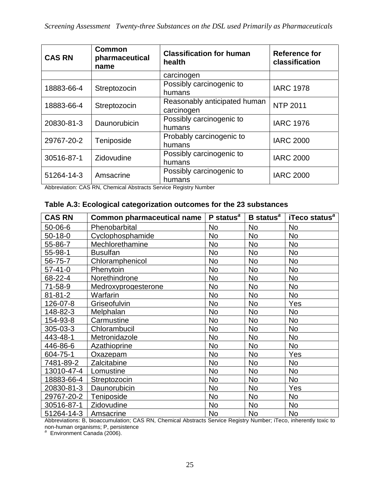| <b>CAS RN</b> | <b>Common</b><br>pharmaceutical<br>name | <b>Classification for human</b><br>health | <b>Reference for</b><br>classification |
|---------------|-----------------------------------------|-------------------------------------------|----------------------------------------|
|               |                                         | carcinogen                                |                                        |
| 18883-66-4    | Streptozocin                            | Possibly carcinogenic to                  | <b>IARC 1978</b>                       |
|               |                                         | humans                                    |                                        |
| 18883-66-4    | Streptozocin                            | Reasonably anticipated human              | <b>NTP 2011</b>                        |
|               |                                         | carcinogen                                |                                        |
| 20830-81-3    | Daunorubicin                            | Possibly carcinogenic to                  | <b>IARC 1976</b>                       |
|               |                                         | humans                                    |                                        |
| 29767-20-2    | Teniposide                              | Probably carcinogenic to                  | <b>IARC 2000</b>                       |
|               |                                         | humans                                    |                                        |
| 30516-87-1    | Zidovudine                              | Possibly carcinogenic to                  | <b>IARC 2000</b>                       |
|               |                                         | humans                                    |                                        |
| 51264-14-3    | Amsacrine                               | Possibly carcinogenic to                  | <b>IARC 2000</b>                       |
|               |                                         | humans                                    |                                        |

Abbreviation: CAS RN, Chemical Abstracts Service Registry Number

#### **Table A.3: Ecological categorization outcomes for the 23 substances**

| <b>CAS RN</b> | <b>Common pharmaceutical name</b> | <b>P</b> status <sup><math>a</math></sup> | B status <sup>a</sup> | iTeco status <sup>a</sup> |
|---------------|-----------------------------------|-------------------------------------------|-----------------------|---------------------------|
| 50-06-6       | Phenobarbital                     | No                                        | No                    | <b>No</b>                 |
| $50-18-0$     | Cyclophosphamide                  | <b>No</b>                                 | No                    | <b>No</b>                 |
| 55-86-7       | Mechlorethamine                   | No                                        | No                    | <b>No</b>                 |
| 55-98-1       | <b>Busulfan</b>                   | <b>No</b>                                 | No                    | <b>No</b>                 |
| 56-75-7       | Chloramphenicol                   | <b>No</b>                                 | <b>No</b>             | <b>No</b>                 |
| $57 - 41 - 0$ | Phenytoin                         | <b>No</b>                                 | No                    | <b>No</b>                 |
| 68-22-4       | Norethindrone                     | <b>No</b>                                 | <b>No</b>             | <b>No</b>                 |
| 71-58-9       | Medroxyprogesterone               | <b>No</b>                                 | <b>No</b>             | <b>No</b>                 |
| $81 - 81 - 2$ | Warfarin                          | <b>No</b>                                 | <b>No</b>             | <b>No</b>                 |
| 126-07-8      | Griseofulvin                      | <b>No</b>                                 | No                    | Yes                       |
| 148-82-3      | Melphalan                         | <b>No</b>                                 | <b>No</b>             | <b>No</b>                 |
| 154-93-8      | Carmustine                        | No                                        | No                    | <b>No</b>                 |
| 305-03-3      | Chlorambucil                      | <b>No</b>                                 | <b>No</b>             | <b>No</b>                 |
| 443-48-1      | Metronidazole                     | <b>No</b>                                 | No                    | No                        |
| 446-86-6      | Azathioprine                      | <b>No</b>                                 | No                    | No                        |
| 604-75-1      | Oxazepam                          | <b>No</b>                                 | No                    | Yes                       |
| 7481-89-2     | Zalcitabine                       | <b>No</b>                                 | No                    | <b>No</b>                 |
| 13010-47-4    | Lomustine                         | <b>No</b>                                 | No                    | <b>No</b>                 |
| 18883-66-4    | Streptozocin                      | <b>No</b>                                 | No                    | No                        |
| 20830-81-3    | Daunorubicin                      | <b>No</b>                                 | No                    | Yes                       |
| 29767-20-2    | Teniposide                        | <b>No</b>                                 | No                    | <b>No</b>                 |
| 30516-87-1    | Zidovudine                        | No                                        | No                    | <b>No</b>                 |
| 51264-14-3    | Amsacrine                         | No                                        | No                    | <b>No</b>                 |

Abbreviations: B, bioaccumulation; CAS RN, Chemical Abstracts Service Registry Number; iTeco, inherently toxic to

non-human organisms; P, persistence *<sup>a</sup>* Environment Canada (2006).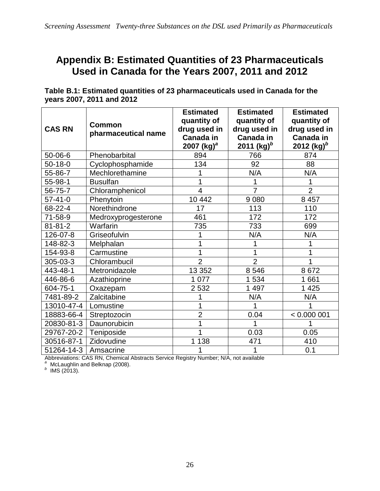## **Appendix B: Estimated Quantities of 23 Pharmaceuticals Used in Canada for the Years 2007, 2011 and 2012**

**Table B.1: Estimated quantities of 23 pharmaceuticals used in Canada for the years 2007, 2011 and 2012**

| <b>CAS RN</b> | <b>Common</b><br>pharmaceutical name | <b>Estimated</b><br>quantity of<br>drug used in<br>Canada in<br>2007 (kg) <sup>a</sup> | <b>Estimated</b><br>quantity of<br>drug used in<br><b>Canada in</b><br>2011 $(kg)^b$ | <b>Estimated</b><br>quantity of<br>drug used in<br>Canada in<br>2012 (kg) $^{b}$ |
|---------------|--------------------------------------|----------------------------------------------------------------------------------------|--------------------------------------------------------------------------------------|----------------------------------------------------------------------------------|
| 50-06-6       | Phenobarbital                        | 894                                                                                    | 766                                                                                  | 874                                                                              |
| $50 - 18 - 0$ | Cyclophosphamide                     | 134                                                                                    | 92                                                                                   | 88                                                                               |
| 55-86-7       | Mechlorethamine                      |                                                                                        | N/A                                                                                  | N/A                                                                              |
| 55-98-1       | <b>Busulfan</b>                      |                                                                                        |                                                                                      | 1                                                                                |
| 56-75-7       | Chloramphenicol                      | 4                                                                                      | 7                                                                                    | $\overline{2}$                                                                   |
| $57 - 41 - 0$ | Phenytoin                            | 10 442                                                                                 | 9 0 8 0                                                                              | 8 4 5 7                                                                          |
| 68-22-4       | Norethindrone                        | 17                                                                                     | 113                                                                                  | 110                                                                              |
| 71-58-9       | Medroxyprogesterone                  | 461                                                                                    | 172                                                                                  | 172                                                                              |
| $81 - 81 - 2$ | Warfarin                             | 735                                                                                    | 733                                                                                  | 699                                                                              |
| 126-07-8      | Griseofulvin                         |                                                                                        | N/A                                                                                  | N/A                                                                              |
| 148-82-3      | Melphalan                            |                                                                                        | 1                                                                                    | 1                                                                                |
| 154-93-8      | Carmustine                           |                                                                                        | 1                                                                                    |                                                                                  |
| 305-03-3      | Chlorambucil                         | $\overline{2}$                                                                         | $\overline{2}$                                                                       | 1                                                                                |
| 443-48-1      | Metronidazole                        | 13 352                                                                                 | 8 5 4 6                                                                              | 8672                                                                             |
| 446-86-6      | Azathioprine                         | 1 0 7 7                                                                                | 1 534                                                                                | 1661                                                                             |
| 604-75-1      | Oxazepam                             | 2 5 3 2                                                                                | 1 4 9 7                                                                              | 1 4 2 5                                                                          |
| 7481-89-2     | Zalcitabine                          |                                                                                        | N/A                                                                                  | N/A                                                                              |
| 13010-47-4    | Lomustine                            |                                                                                        |                                                                                      |                                                                                  |
| 18883-66-4    | Streptozocin                         | $\overline{2}$                                                                         | 0.04                                                                                 | < 0.000001                                                                       |
| 20830-81-3    | Daunorubicin                         |                                                                                        | 1                                                                                    |                                                                                  |
| 29767-20-2    | Teniposide                           |                                                                                        | 0.03                                                                                 | 0.05                                                                             |
| 30516-87-1    | Zidovudine                           | 1 1 3 8                                                                                | 471                                                                                  | 410                                                                              |
| 51264-14-3    | Amsacrine                            |                                                                                        | 1                                                                                    | 0.1                                                                              |

Abbreviations: CAS RN, Chemical Abstracts Service Registry Number; N/A, not available<br><sup>a</sup> McLaughlin and Belknap (2008).<br><sup>b</sup> IMS (2013).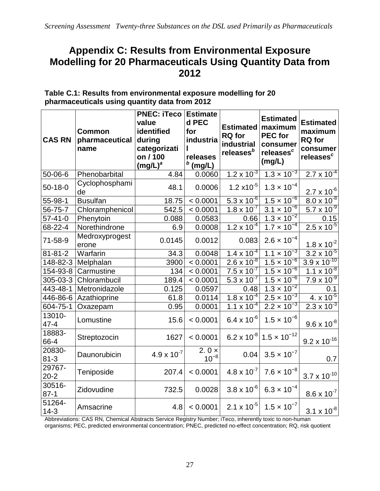## **Appendix C: Results from Environmental Exposure Modelling for 20 Pharmaceuticals Using Quantity Data from 2012**

| <b>CAS RN</b>      | <b>Common</b><br>pharmaceutical<br>name | <b>PNEC: iTeco</b><br>value<br>identified<br>during<br>categorizati<br>on / 100<br>$(mg/L)^a$ | <b>Estimate</b><br>d PEC<br>for<br>industria<br>releases<br>$b$ (mg/L) | Estimated   maximum<br><b>RQ</b> for<br>industrial<br>releases <sup>b</sup> | <b>Estimated</b><br><b>PEC</b> for<br>consumer<br>releases <sup>c</sup><br>(mg/L) | <b>Estimated</b><br>maximum<br><b>RQ</b> for<br>consumer<br>releases <sup>c</sup> |
|--------------------|-----------------------------------------|-----------------------------------------------------------------------------------------------|------------------------------------------------------------------------|-----------------------------------------------------------------------------|-----------------------------------------------------------------------------------|-----------------------------------------------------------------------------------|
| $50 - 06 - 6$      | Phenobarbital                           | 4.84                                                                                          | 0.0060                                                                 | $1.2 \times 10^{-3}$                                                        | $1.3 \times 10^{-3}$                                                              | $2.7 \times 10^{-4}$                                                              |
| $50-18-0$          | Cyclophosphami<br>de                    | 48.1                                                                                          | 0.0006                                                                 | $1.2 \times 10^{-5}$                                                        | $1.3 \times 10^{-4}$                                                              | $2.7 \times 10^{-6}$                                                              |
| 55-98-1            | <b>Busulfan</b>                         | 18.75                                                                                         | < 0.0001                                                               | $5.3 \times 10^{-6}$                                                        | $1.5 \times 10^{-6}$                                                              | $8.0 \times 10^{-8}$                                                              |
| 56-75-7            | Chloramphenicol                         | 542.5                                                                                         | < 0.0001                                                               | $1.8 \times 10^{-7}$                                                        | $3.1 \times 10^{-6}$                                                              | $\overline{5.7 \times 10^{-9}}$                                                   |
| $57 - 41 - 0$      | Phenytoin                               | 0.088                                                                                         | 0.0583                                                                 | 0.66                                                                        | $1.3 \times 10^{-2}$                                                              | 0.15                                                                              |
| 68-22-4            | Norethindrone                           | 6.9                                                                                           | 0.0008                                                                 | $1.2 \times 10^{-4}$                                                        | $1.7 \times 10^{-4}$                                                              | $2.5 \times 10^{-5}$                                                              |
| 71-58-9            | Medroxyprogest<br>erone                 | 0.0145                                                                                        | 0.0012                                                                 | 0.083                                                                       | $2.6 \times 10^{-4}$                                                              | $1.8 \times 10^{-2}$                                                              |
| $81 - 81 - 2$      | Warfarin                                | 34.3                                                                                          | 0.0048                                                                 | $1.4 \times 10^{-4}$                                                        | $1.1 \times 10^{-3}$                                                              | $3.2 \times 10^{-5}$                                                              |
| 148-82-3           | Melphalan                               | 3900                                                                                          | < 0.0001                                                               | $2.6 \times 10^{-8}$                                                        | $1.5 \times 10^{-6}$                                                              | $3.9 \times 10^{-10}$                                                             |
| 154-93-8           | Carmustine                              | 134                                                                                           | < 0.0001                                                               | $7.5 \times 10^{-7}$                                                        | $1.5 \times 10^{-6}$                                                              | $1.1 \times 10^{-8}$                                                              |
| 305-03-3           | Chlorambucil                            | 189.4                                                                                         | < 0.0001                                                               | $5.3 \times 10^{-7}$                                                        | $1.5 \times 10^{-6}$                                                              | $7.9 \times 10^{-9}$                                                              |
| 443-48-1           | Metronidazole                           | 0.125                                                                                         | 0.0597                                                                 | 0.48                                                                        | $1.3 \times 10^{-2}$                                                              | 0.1                                                                               |
| 446-86-6           | Azathioprine                            | 61.8                                                                                          | 0.0114                                                                 | $1.8 \times 10^{-4}$                                                        | $2.5 \times 10^{-3}$                                                              | $4. x 10^{-5}$                                                                    |
| 604-75-1           | Oxazepam                                | 0.95                                                                                          | 0.0001                                                                 | $1.1 \times 10^{-4}$                                                        | $2.2 \times 10^{-3}$                                                              | $2.3 \times 10^{-3}$                                                              |
| 13010-<br>$47 - 4$ | Lomustine                               | 15.6                                                                                          | < 0.0001                                                               | $6.4 \times 10^{-6}$                                                        | $1.5 \times 10^{-6}$                                                              | $9.6 \times 10^{-8}$                                                              |
| 18883-<br>66-4     | Streptozocin                            | 1627                                                                                          | < 0.0001                                                               | $6.2 \times 10^{-8}$                                                        | $1.5 \times 10^{-12}$                                                             | $9.2 \times 10^{-16}$                                                             |
| 20830-<br>$81 - 3$ | Daunorubicin                            | $4.9 \times 10^{-7}$                                                                          | 2.0 $\times$<br>$10^{-8}$                                              | 0.04                                                                        | $3.5 \times 10^{-7}$                                                              | 0.7                                                                               |
| 29767-<br>$20 - 2$ | Teniposide                              | 207.4                                                                                         | < 0.0001                                                               | $4.8 \times 10^{-7}$                                                        | $7.6 \times 10^{-8}$                                                              | $3.7 \times 10^{-10}$                                                             |
| 30516-<br>$87 - 1$ | Zidovudine                              | 732.5                                                                                         | 0.0028                                                                 | $3.8 \times 10^{-6}$                                                        | $6.3 \times 10^{-4}$                                                              | $8.6 \times 10^{-7}$                                                              |
| 51264-<br>$14-3$   | Amsacrine                               | 4.8                                                                                           | < 0.0001                                                               | 2.1 x 10 <sup>-5</sup>                                                      | $1.5 \times 10^{-7}$                                                              | $3.1 \times 10^{-8}$                                                              |

**Table C.1: Results from environmental exposure modelling for 20 pharmaceuticals using quantity data from 2012**

Abbreviations: CAS RN, Chemical Abstracts Service Registry Number; iTeco, inherently toxic to non-human organisms; PEC, predicted environmental concentration; PNEC, predicted no-effect concentration; RQ, risk quotient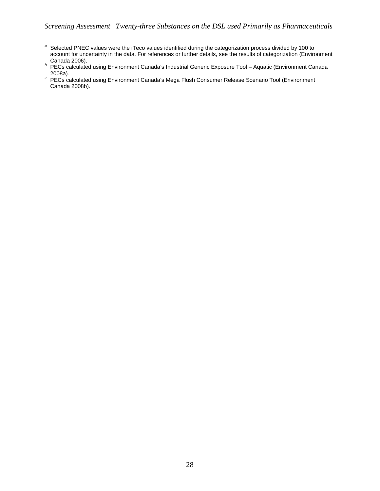#### *Screening Assessment Twenty-three Substances on the DSL used Primarily as Pharmaceuticals*

- *<sup>a</sup>* Selected PNEC values were the iTeco values identified during the categorization process divided by 100 to account for uncertainty in the data. For references or further details, see the results of categorization (Environment
- Canada 2006).<br> *b* PECs calculated using Environment Canada's Industrial Generic Exposure Tool Aquatic (Environment Canada 2008a).
- 2008a). *<sup>c</sup>* PECs calculated using Environment Canada's Mega Flush Consumer Release Scenario Tool (Environment Canada 2008b).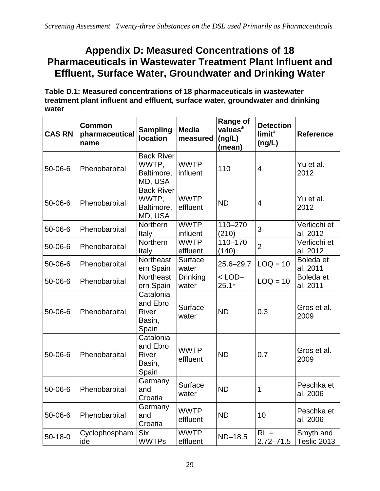## **Appendix D: Measured Concentrations of 18 Pharmaceuticals in Wastewater Treatment Plant Influent and Effluent, Surface Water, Groundwater and Drinking Water**

**Table D.1: Measured concentrations of 18 pharmaceuticals in wastewater treatment plant influent and effluent, surface water, groundwater and drinking water**

| <b>CAS RN</b> | <b>Common</b><br>pharmaceutical<br>name | <b>Sampling</b><br><b>location</b>                  | <b>Media</b><br>measured | <b>Range of</b><br>values <sup>a</sup><br>(ng/L)<br>(mean) | <b>Detection</b><br>limit <sup>a</sup><br>(ng/L) | <b>Reference</b>         |
|---------------|-----------------------------------------|-----------------------------------------------------|--------------------------|------------------------------------------------------------|--------------------------------------------------|--------------------------|
| $50 - 06 - 6$ | Phenobarbital                           | <b>Back River</b><br>WWTP,<br>Baltimore,<br>MD, USA | <b>WWTP</b><br>influent  | 110                                                        | $\overline{4}$                                   | Yu et al.<br>2012        |
| $50 - 06 - 6$ | Phenobarbital                           | <b>Back River</b><br>WWTP,<br>Baltimore,<br>MD, USA | <b>WWTP</b><br>effluent  | <b>ND</b>                                                  | 4                                                | Yu et al.<br>2012        |
| $50 - 06 - 6$ | Phenobarbital                           | <b>Northern</b><br>Italy                            | <b>WWTP</b><br>influent  | 110-270<br>(210)                                           | 3                                                | Verlicchi et<br>al. 2012 |
| $50 - 06 - 6$ | Phenobarbital                           | Northern<br>Italy                                   | <b>WWTP</b><br>effluent  | 110-170<br>(140)                                           | $\overline{2}$                                   | Verlicchi et<br>al. 2012 |
| $50 - 06 - 6$ | Phenobarbital                           | Northeast<br>ern Spain                              | Surface<br>water         | $25.6 - 29.7$                                              | $LOQ = 10$                                       | Boleda et<br>al. 2011    |
| $50 - 06 - 6$ | Phenobarbital                           | <b>Northeast</b><br>ern Spain                       | <b>Drinking</b><br>water | $<$ LOD $-$<br>$25.1*$                                     | $LOQ = 10$                                       | Boleda et<br>al. 2011    |
| $50 - 06 - 6$ | Phenobarbital                           | Catalonia<br>and Ebro<br>River<br>Basin,<br>Spain   | Surface<br>water         | <b>ND</b>                                                  | 0.3                                              | Gros et al.<br>2009      |
| $50 - 06 - 6$ | Phenobarbital                           | Catalonia<br>and Ebro<br>River<br>Basin,<br>Spain   | <b>WWTP</b><br>effluent  | <b>ND</b>                                                  | 0.7                                              | Gros et al.<br>2009      |
| $50 - 06 - 6$ | Phenobarbital                           | Germany<br>and<br>Croatia                           | Surface<br>water         | <b>ND</b>                                                  | 1                                                | Peschka et<br>al. 2006   |
| 50-06-6       | Phenobarbital                           | Germany<br>and<br>Croatia                           | <b>WWTP</b><br>effluent  | <b>ND</b>                                                  | 10                                               | Peschka et<br>al. 2006   |
| $50 - 18 - 0$ | Cyclophospham<br>ide                    | <b>Six</b><br><b>WWTPs</b>                          | <b>WWTP</b><br>effluent  | ND-18.5                                                    | $RL =$<br>$2.72 - 71.5$                          | Smyth and<br>Teslic 2013 |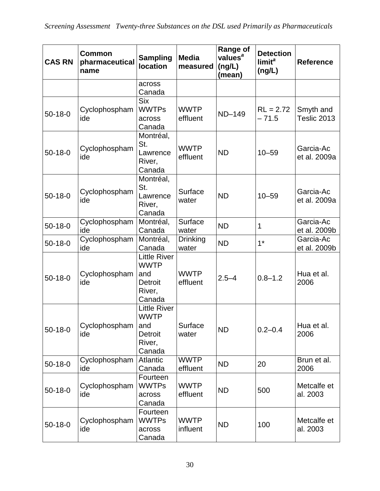| <b>CAS RN</b> | <b>Common</b><br>pharmaceutical<br>name | <b>Sampling</b><br><b>location</b>                                              | <b>Media</b><br>measured | <b>Range of</b><br>values <sup>a</sup><br>(ng/L)<br>(mean) | <b>Detection</b><br>limit <sup>a</sup><br>(ng/L) | <b>Reference</b>          |
|---------------|-----------------------------------------|---------------------------------------------------------------------------------|--------------------------|------------------------------------------------------------|--------------------------------------------------|---------------------------|
|               |                                         | across<br>Canada                                                                |                          |                                                            |                                                  |                           |
| $50-18-0$     | Cyclophospham<br>ide                    | <b>Six</b><br><b>WWTPs</b><br>across<br>Canada                                  | <b>WWTP</b><br>effluent  | ND-149                                                     | $RL = 2.72$<br>$-71.5$                           | Smyth and<br>Teslic 2013  |
| $50-18-0$     | Cyclophospham<br>ide                    | Montréal,<br>St.<br>Lawrence<br>River,<br>Canada                                | <b>WWTP</b><br>effluent  | <b>ND</b>                                                  | $10 - 59$                                        | Garcia-Ac<br>et al. 2009a |
| $50 - 18 - 0$ | Cyclophospham<br>ide                    | Montréal,<br>St.<br>Lawrence<br>River,<br>Canada                                | Surface<br>water         | <b>ND</b>                                                  | $10 - 59$                                        | Garcia-Ac<br>et al. 2009a |
| $50-18-0$     | Cyclophospham<br>ide                    | Montréal,<br>Canada                                                             | Surface<br>water         | <b>ND</b>                                                  | $\mathbf 1$                                      | Garcia-Ac<br>et al. 2009b |
| $50 - 18 - 0$ | Cyclophospham<br>ide                    | Montréal,<br>Canada                                                             | <b>Drinking</b><br>water | <b>ND</b>                                                  | $1*$                                             | Garcia-Ac<br>et al. 2009b |
| $50-18-0$     | Cyclophospham<br>ide                    | <b>Little River</b><br><b>WWTP</b><br>and<br><b>Detroit</b><br>River,<br>Canada | <b>WWTP</b><br>effluent  | $2.5 - 4$                                                  | $0.8 - 1.2$                                      | Hua et al.<br>2006        |
| $50 - 18 - 0$ | Cyclophospham<br>ide                    | <b>Little River</b><br><b>WWTP</b><br>and<br><b>Detroit</b><br>River,<br>Canada | Surface<br>water         | <b>ND</b>                                                  | $0.2 - 0.4$                                      | Hua et al.<br>2006        |
| $50 - 18 - 0$ | Cyclophospham<br>ide                    | Atlantic<br>Canada                                                              | <b>WWTP</b><br>effluent  | <b>ND</b>                                                  | 20                                               | Brun et al.<br>2006       |
| $50 - 18 - 0$ | Cyclophospham<br>ide                    | Fourteen<br><b>WWTPs</b><br>across<br>Canada                                    | <b>WWTP</b><br>effluent  | <b>ND</b>                                                  | 500                                              | Metcalfe et<br>al. 2003   |
| $50 - 18 - 0$ | Cyclophospham<br>ide                    | Fourteen<br><b>WWTPs</b><br>across<br>Canada                                    | <b>WWTP</b><br>influent  | <b>ND</b>                                                  | 100                                              | Metcalfe et<br>al. 2003   |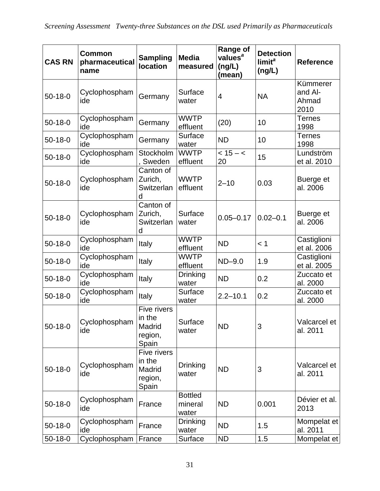| <b>CAS RN</b> | <b>Common</b><br>pharmaceutical<br>name | <b>Sampling</b><br><b>location</b>                  | <b>Media</b><br>measured           | <b>Range of</b><br>values <sup>a</sup><br>(ng/L)<br>(mean) | <b>Detection</b><br>limit <sup>a</sup><br>(ng/L) | <b>Reference</b>                     |
|---------------|-----------------------------------------|-----------------------------------------------------|------------------------------------|------------------------------------------------------------|--------------------------------------------------|--------------------------------------|
| $50 - 18 - 0$ | Cyclophospham<br>ide                    | Germany                                             | Surface<br>water                   | $\overline{4}$                                             | <b>NA</b>                                        | Kümmerer<br>and Al-<br>Ahmad<br>2010 |
| $50 - 18 - 0$ | Cyclophospham<br>ide                    | Germany                                             | <b>WWTP</b><br>effluent            | (20)                                                       | 10                                               | <b>Ternes</b><br>1998                |
| $50 - 18 - 0$ | Cyclophospham<br>ide                    | Germany                                             | Surface<br>water                   | <b>ND</b>                                                  | 10                                               | <b>Ternes</b><br>1998                |
| $50-18-0$     | Cyclophospham<br>ide                    | Stockholm<br>Sweden                                 | <b>WWTP</b><br>effluent            | $< 15 - c$<br>20                                           | 15                                               | Lundström<br>et al. 2010             |
| $50-18-0$     | Cyclophospham<br>ide                    | Canton of<br>Zurich,<br>Switzerlan<br>d             | <b>WWTP</b><br>effluent            | $2 - 10$                                                   | 0.03                                             | Buerge et<br>al. 2006                |
| $50-18-0$     | Cyclophospham<br>ide                    | Canton of<br>Zurich,<br>Switzerlan<br>d             | Surface<br>water                   | $0.05 - 0.17$                                              | $0.02 - 0.1$                                     | Buerge et<br>al. 2006                |
| $50-18-0$     | Cyclophospham<br>ide                    | Italy                                               | <b>WWTP</b><br>effluent            | <b>ND</b>                                                  | < 1                                              | Castiglioni<br>et al. 2006           |
| $50 - 18 - 0$ | Cyclophospham<br>ide                    | Italy                                               | <b>WWTP</b><br>effluent            | $ND-9.0$                                                   | 1.9                                              | Castiglioni<br>et al. 2005           |
| $50 - 18 - 0$ | Cyclophospham<br>ide                    | Italy                                               | <b>Drinking</b><br>water           | <b>ND</b>                                                  | 0.2                                              | Zuccato et<br>al. 2000               |
| $50-18-0$     | Cyclophospham<br>ide                    | Italy                                               | Surface<br>water                   | $2.2 - 10.1$                                               | 0.2                                              | Zuccato et<br>al. 2000               |
| $50 - 18 - 0$ | Cyclophospham<br>ide                    | Five rivers<br>in the<br>Madrid<br>region,<br>Spain | Surface<br>water                   | <b>ND</b>                                                  | 3                                                | Valcarcel et<br>al. 2011             |
| $50 - 18 - 0$ | Cyclophospham<br>ide                    | Five rivers<br>in the<br>Madrid<br>region,<br>Spain | Drinking<br>water                  | <b>ND</b>                                                  | 3                                                | Valcarcel et<br>al. 2011             |
| $50 - 18 - 0$ | Cyclophospham<br>ide                    | France                                              | <b>Bottled</b><br>mineral<br>water | <b>ND</b>                                                  | 0.001                                            | Dévier et al.<br>2013                |
| $50 - 18 - 0$ | Cyclophospham<br>ide                    | France                                              | Drinking<br>water                  | <b>ND</b>                                                  | 1.5                                              | Mompelat et<br>al. 2011              |
| $50 - 18 - 0$ | Cyclophospham                           | France                                              | Surface                            | <b>ND</b>                                                  | 1.5                                              | Mompelat et                          |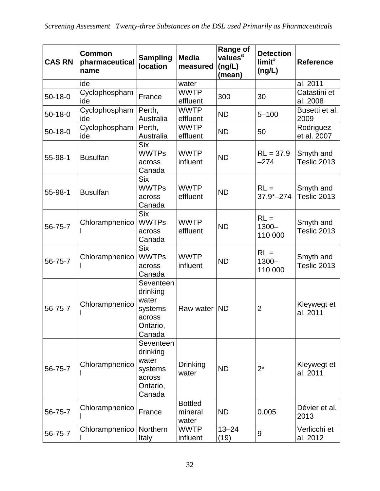| <b>CAS RN</b> | <b>Common</b><br>pharmaceutical<br>name | <b>Sampling</b><br><b>location</b>                                        | <b>Media</b><br>measured           | <b>Range of</b><br>values <sup>a</sup><br>(ng/L)<br>(mean) | <b>Detection</b><br>limit <sup>a</sup><br>(ng/L) | <b>Reference</b>         |
|---------------|-----------------------------------------|---------------------------------------------------------------------------|------------------------------------|------------------------------------------------------------|--------------------------------------------------|--------------------------|
|               | ide                                     |                                                                           | water                              |                                                            |                                                  | al. 2011                 |
| $50 - 18 - 0$ | Cyclophospham<br>ide                    | France                                                                    | <b>WWTP</b><br>effluent            | 300                                                        | 30                                               | Catastini et<br>al. 2008 |
| $50 - 18 - 0$ | Cyclophospham<br>ide                    | Perth,<br>Australia                                                       | <b>WWTP</b><br>effluent            | <b>ND</b>                                                  | $5 - 100$                                        | Busetti et al.<br>2009   |
| $50-18-0$     | Cyclophospham<br>ide                    | Perth,<br>Australia                                                       | <b>WWTP</b><br>effluent            | <b>ND</b>                                                  | 50                                               | Rodriguez<br>et al. 2007 |
| 55-98-1       | <b>Busulfan</b>                         | <b>Six</b><br><b>WWTPs</b><br>across<br>Canada                            | <b>WWTP</b><br>influent            | <b>ND</b>                                                  | $RL = 37.9$<br>$-274$                            | Smyth and<br>Teslic 2013 |
| 55-98-1       | <b>Busulfan</b>                         | <b>Six</b><br><b>WWTPs</b><br>across<br>Canada                            | <b>WWTP</b><br>effluent            | <b>ND</b>                                                  | $RL =$<br>$37.9 - 274$                           | Smyth and<br>Teslic 2013 |
| 56-75-7       | Chloramphenico                          | <b>Six</b><br><b>WWTPs</b><br>across<br>Canada                            | <b>WWTP</b><br>effluent            | <b>ND</b>                                                  | $RL =$<br>$1300 -$<br>110 000                    | Smyth and<br>Teslic 2013 |
| 56-75-7       | Chloramphenico                          | <b>Six</b><br><b>WWTPs</b><br>across<br>Canada                            | <b>WWTP</b><br>influent            | <b>ND</b>                                                  | $RL =$<br>$1300 -$<br>110 000                    | Smyth and<br>Teslic 2013 |
| 56-75-7       | Chloramphenico                          | Seventeen<br>drinking<br>water<br>systems<br>across<br>Ontario,<br>Canada | Raw water                          | <b>ND</b>                                                  | $\overline{2}$                                   | Kleywegt et<br>al. 2011  |
| 56-75-7       | Chloramphenico                          | Seventeen<br>drinking<br>water<br>systems<br>across<br>Ontario,<br>Canada | <b>Drinking</b><br>water           | <b>ND</b>                                                  | $2^*$                                            | Kleywegt et<br>al. 2011  |
| 56-75-7       | Chloramphenico                          | France                                                                    | <b>Bottled</b><br>mineral<br>water | <b>ND</b>                                                  | 0.005                                            | Dévier et al.<br>2013    |
| 56-75-7       | Chloramphenico                          | Northern<br>Italy                                                         | <b>WWTP</b><br>influent            | $13 - 24$<br>(19)                                          | $\boldsymbol{9}$                                 | Verlicchi et<br>al. 2012 |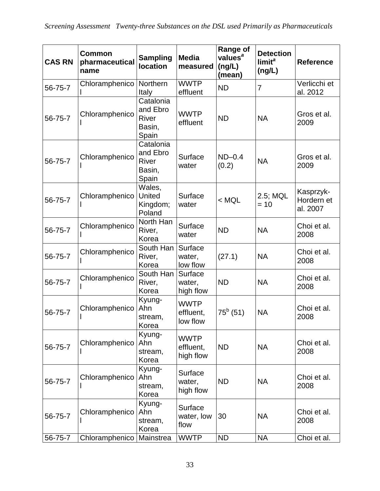| <b>CAS RN</b> | <b>Common</b><br>pharmaceutical<br>name | <b>Sampling</b><br><b>location</b>                | <b>Media</b><br>measured              | <b>Range of</b><br>values <sup>a</sup><br>(ng/L)<br>(mean) | <b>Detection</b><br>limit <sup>a</sup><br>(ng/L) | <b>Reference</b>                    |
|---------------|-----------------------------------------|---------------------------------------------------|---------------------------------------|------------------------------------------------------------|--------------------------------------------------|-------------------------------------|
| 56-75-7       | Chloramphenico                          | Northern<br>Italy                                 | <b>WWTP</b><br>effluent               | <b>ND</b>                                                  | $\overline{7}$                                   | Verlicchi et<br>al. 2012            |
| 56-75-7       | Chloramphenico                          | Catalonia<br>and Ebro<br>River<br>Basin,<br>Spain | <b>WWTP</b><br>effluent               | <b>ND</b>                                                  | <b>NA</b>                                        | Gros et al.<br>2009                 |
| 56-75-7       | Chloramphenico                          | Catalonia<br>and Ebro<br>River<br>Basin,<br>Spain | Surface<br>water                      | $ND-0.4$<br>(0.2)                                          | <b>NA</b>                                        | Gros et al.<br>2009                 |
| 56-75-7       | Chloramphenico                          | Wales,<br><b>United</b><br>Kingdom;<br>Poland     | Surface<br>water                      | $<$ MQL                                                    | 2.5; MQL<br>$= 10$                               | Kasprzyk-<br>Hordern et<br>al. 2007 |
| 56-75-7       | Chloramphenico                          | North Han<br>River,<br>Korea                      | Surface<br>water                      | <b>ND</b>                                                  | <b>NA</b>                                        | Choi et al.<br>2008                 |
| 56-75-7       | Chloramphenico                          | South Han<br>River,<br>Korea                      | Surface<br>water,<br>low flow         | (27.1)                                                     | <b>NA</b>                                        | Choi et al.<br>2008                 |
| 56-75-7       | Chloramphenico                          | South Han<br>River,<br>Korea                      | Surface<br>water,<br>high flow        | <b>ND</b>                                                  | <b>NA</b>                                        | Choi et al.<br>2008                 |
| 56-75-7       | Chloramphenico                          | Kyung-<br>Ahn<br>stream,<br>Korea                 | <b>WWTP</b><br>effluent,<br>low flow  | $75^b$ (51)                                                | <b>NA</b>                                        | Choi et al.<br>2008                 |
| 56-75-7       | Chloramphenico                          | Kyung-<br>Ahn<br>stream,<br>Korea                 | <b>WWTP</b><br>effluent,<br>high flow | <b>ND</b>                                                  | <b>NA</b>                                        | Choi et al.<br>2008                 |
| 56-75-7       | Chloramphenico                          | Kyung-<br>Ahn<br>stream,<br>Korea                 | Surface<br>water,<br>high flow        | <b>ND</b>                                                  | <b>NA</b>                                        | Choi et al.<br>2008                 |
| 56-75-7       | Chloramphenico                          | Kyung-<br>Ahn<br>stream,<br>Korea                 | Surface<br>water, low<br>flow         | 30                                                         | <b>NA</b>                                        | Choi et al.<br>2008                 |
| 56-75-7       | Chloramphenico                          | Mainstrea                                         | <b>WWTP</b>                           | <b>ND</b>                                                  | <b>NA</b>                                        | Choi et al.                         |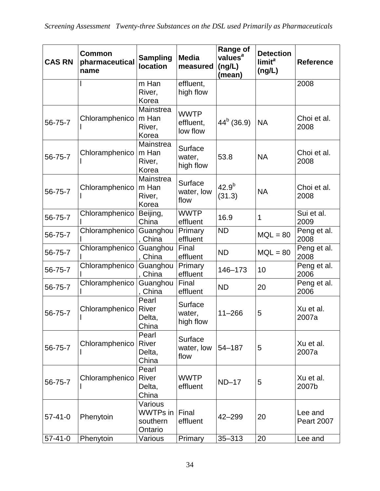| <b>CAS RN</b> | <b>Common</b><br>pharmaceutical<br>name | <b>Sampling</b><br><b>location</b>                | <b>Media</b><br>measured             | <b>Range of</b><br>values <sup>a</sup><br>(ng/L)<br>(mean) | <b>Detection</b><br>limit <sup>a</sup><br>(ng/L) | <b>Reference</b>             |
|---------------|-----------------------------------------|---------------------------------------------------|--------------------------------------|------------------------------------------------------------|--------------------------------------------------|------------------------------|
|               |                                         | m Han<br>River,<br>Korea                          | effluent,<br>high flow               |                                                            |                                                  | 2008                         |
| 56-75-7       | Chloramphenico                          | Mainstrea<br>m Han<br>River,<br>Korea             | <b>WWTP</b><br>effluent,<br>low flow | $44^b$ (36.9)                                              | <b>NA</b>                                        | Choi et al.<br>2008          |
| 56-75-7       | Chloramphenico                          | Mainstrea<br>m Han<br>River,<br>Korea             | Surface<br>water,<br>high flow       | 53.8                                                       | <b>NA</b>                                        | Choi et al.<br>2008          |
| 56-75-7       | Chloramphenico                          | Mainstrea<br>m Han<br>River,<br>Korea             | Surface<br>water, low<br>flow        | $42.9^{b}$<br>(31.3)                                       | <b>NA</b>                                        | Choi et al.<br>2008          |
| 56-75-7       | Chloramphenico                          | Beijing,<br>China                                 | <b>WWTP</b><br>effluent              | 16.9                                                       | $\mathbf{1}$                                     | Sui et al.<br>2009           |
| 56-75-7       | Chloramphenico                          | Guanghou<br>, China                               | Primary<br>effluent                  | <b>ND</b>                                                  | $MQL = 80$                                       | Peng et al.<br>2008          |
| 56-75-7       | Chloramphenico                          | Guanghou<br>, China                               | Final<br>effluent                    | <b>ND</b>                                                  | $MQL = 80$                                       | Peng et al.<br>2008          |
| 56-75-7       | Chloramphenico                          | Guanghou<br>China                                 | Primary<br>effluent                  | 146-173                                                    | 10                                               | Peng et al.<br>2006          |
| 56-75-7       | Chloramphenico                          | Guanghou<br>, China                               | Final<br>effluent                    | <b>ND</b>                                                  | 20                                               | Peng et al.<br>2006          |
| 56-75-7       | Chloramphenico                          | Pearl<br>River<br>Delta,<br>China                 | Surface<br>water,<br>high flow       | $11 - 266$                                                 | 5                                                | Xu et al.<br>2007a           |
| 56-75-7       | Chloramphenico                          | Pearl<br>River<br>Delta,<br>China                 | Surface<br>water, low<br>flow        | $54 - 187$                                                 | 5                                                | Xu et al.<br>2007a           |
| 56-75-7       | Chloramphenico                          | Pearl<br>River<br>Delta,<br>China                 | <b>WWTP</b><br>effluent              | $ND-17$                                                    | 5                                                | Xu et al.<br>2007b           |
| $57 - 41 - 0$ | Phenytoin                               | Various<br><b>WWTPs</b> in<br>southern<br>Ontario | Final<br>effluent                    | $42 - 299$                                                 | 20                                               | Lee and<br><b>Peart 2007</b> |
| $57 - 41 - 0$ | Phenytoin                               | Various                                           | Primary                              | $35 - 313$                                                 | 20                                               | Lee and                      |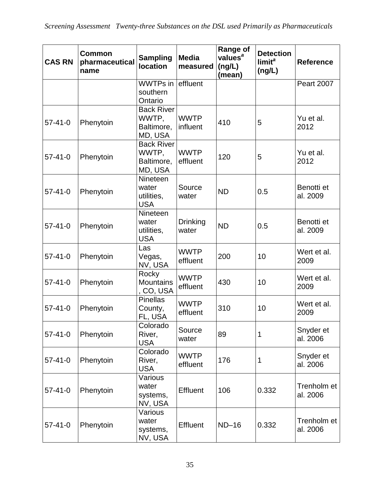| <b>CAS RN</b> | <b>Common</b><br>pharmaceutical<br>name | <b>Sampling</b><br><b>location</b>                  | <b>Media</b><br>measured | <b>Range of</b><br>values <sup>a</sup><br>(ng/L)<br>(mean) | <b>Detection</b><br>limit <sup>a</sup><br>(ng/L) | <b>Reference</b>        |
|---------------|-----------------------------------------|-----------------------------------------------------|--------------------------|------------------------------------------------------------|--------------------------------------------------|-------------------------|
|               |                                         | WWTPs in effluent<br>southern<br>Ontario            |                          |                                                            |                                                  | <b>Peart 2007</b>       |
| $57 - 41 - 0$ | Phenytoin                               | <b>Back River</b><br>WWTP,<br>Baltimore,<br>MD, USA | <b>WWTP</b><br>influent  | 410                                                        | 5                                                | Yu et al.<br>2012       |
| $57 - 41 - 0$ | Phenytoin                               | <b>Back River</b><br>WWTP,<br>Baltimore,<br>MD, USA | <b>WWTP</b><br>effluent  | 120                                                        | 5                                                | Yu et al.<br>2012       |
| $57 - 41 - 0$ | Phenytoin                               | Nineteen<br>water<br>utilities,<br><b>USA</b>       | Source<br>water          | <b>ND</b>                                                  | 0.5                                              | Benotti et<br>al. 2009  |
| $57 - 41 - 0$ | Phenytoin                               | Nineteen<br>water<br>utilities,<br><b>USA</b>       | <b>Drinking</b><br>water | <b>ND</b>                                                  | 0.5                                              | Benotti et<br>al. 2009  |
| $57 - 41 - 0$ | Phenytoin                               | Las<br>Vegas,<br>NV, USA                            | <b>WWTP</b><br>effluent  | 200                                                        | 10                                               | Wert et al.<br>2009     |
| $57 - 41 - 0$ | Phenytoin                               | Rocky<br><b>Mountains</b><br>, CO, USA              | <b>WWTP</b><br>effluent  | 430                                                        | 10                                               | Wert et al.<br>2009     |
| $57 - 41 - 0$ | Phenytoin                               | <b>Pinellas</b><br>County,<br>FL, USA               | <b>WWTP</b><br>effluent  | 310                                                        | 10                                               | Wert et al.<br>2009     |
| $57 - 41 - 0$ | Phenytoin                               | Colorado<br>River,<br><b>USA</b>                    | Source<br>water          | 89                                                         | 1                                                | Snyder et<br>al. 2006   |
| $57 - 41 - 0$ | Phenytoin                               | Colorado<br>River,<br><b>USA</b>                    | <b>WWTP</b><br>effluent  | 176                                                        | 1                                                | Snyder et<br>al. 2006   |
| $57 - 41 - 0$ | Phenytoin                               | Various<br>water<br>systems,<br>NV, USA             | Effluent                 | 106                                                        | 0.332                                            | Trenholm et<br>al. 2006 |
| $57 - 41 - 0$ | Phenytoin                               | Various<br>water<br>systems,<br>NV, USA             | <b>Effluent</b>          | $ND-16$                                                    | 0.332                                            | Trenholm et<br>al. 2006 |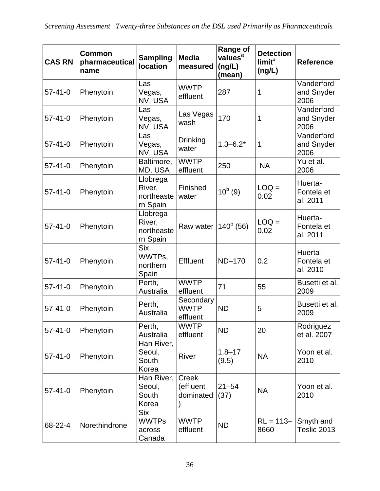| <b>CAS RN</b> | <b>Common</b><br>pharmaceutical<br>name | <b>Sampling</b><br><b>location</b>             | <b>Media</b><br>measured               | <b>Range of</b><br>values <sup>a</sup><br>(ng/L)<br>(mean) | <b>Detection</b><br>limit <sup>a</sup><br>(ng/L) | <b>Reference</b>                  |
|---------------|-----------------------------------------|------------------------------------------------|----------------------------------------|------------------------------------------------------------|--------------------------------------------------|-----------------------------------|
| $57 - 41 - 0$ | Phenytoin                               | Las<br>Vegas,<br>NV, USA                       | <b>WWTP</b><br>effluent                | 287                                                        | 1                                                | Vanderford<br>and Snyder<br>2006  |
| $57 - 41 - 0$ | Phenytoin                               | Las<br>Vegas,<br>NV, USA                       | Las Vegas<br>wash                      | 170                                                        | 1                                                | Vanderford<br>and Snyder<br>2006  |
| $57 - 41 - 0$ | Phenytoin                               | Las<br>Vegas,<br>NV, USA                       | <b>Drinking</b><br>water               | $1.3 - 6.2*$                                               | 1                                                | Vanderford<br>and Snyder<br>2006  |
| $57 - 41 - 0$ | Phenytoin                               | Baltimore,<br>MD, USA                          | <b>WWTP</b><br>effluent                | 250                                                        | <b>NA</b>                                        | Yu et al.<br>2006                 |
| $57 - 41 - 0$ | Phenytoin                               | Llobrega<br>River,<br>northeaste<br>rn Spain   | Finished<br>water                      | $10^b(9)$                                                  | $LOQ =$<br>0.02                                  | Huerta-<br>Fontela et<br>al. 2011 |
| $57 - 41 - 0$ | Phenytoin                               | Llobrega<br>River,<br>northeaste<br>rn Spain   | Raw water                              | $140^b$ (56)                                               | $LOQ =$<br>0.02                                  | Huerta-<br>Fontela et<br>al. 2011 |
| $57 - 41 - 0$ | Phenytoin                               | <b>Six</b><br>WWTPs,<br>northern<br>Spain      | Effluent                               | ND-170                                                     | 0.2                                              | Huerta-<br>Fontela et<br>al. 2010 |
| $57 - 41 - 0$ | Phenytoin                               | Perth,<br>Australia                            | <b>WWTP</b><br>effluent                | 71                                                         | 55                                               | Busetti et al.<br>2009            |
| $57 - 41 - 0$ | Phenytoin                               | Perth,<br>Australia                            | Secondary<br><b>WWTP</b><br>effluent   | <b>ND</b>                                                  | 5                                                | Busetti et al.<br>2009            |
| $57 - 41 - 0$ | Phenytoin                               | Perth,<br>Australia                            | <b>WWTP</b><br>effluent                | <b>ND</b>                                                  | 20                                               | Rodriguez<br>et al. 2007          |
| $57 - 41 - 0$ | Phenytoin                               | Han River,<br>Seoul,<br>South<br>Korea         | River                                  | $1.8 - 17$<br>(9.5)                                        | <b>NA</b>                                        | Yoon et al.<br>2010               |
| $57 - 41 - 0$ | Phenytoin                               | Han River,<br>Seoul,<br>South<br>Korea         | <b>Creek</b><br>(effluent<br>dominated | $21 - 54$<br>(37)                                          | <b>NA</b>                                        | Yoon et al.<br>2010               |
| 68-22-4       | Norethindrone                           | <b>Six</b><br><b>WWTPs</b><br>across<br>Canada | <b>WWTP</b><br>effluent                | <b>ND</b>                                                  | $RL = 113 -$<br>8660                             | Smyth and<br>Teslic 2013          |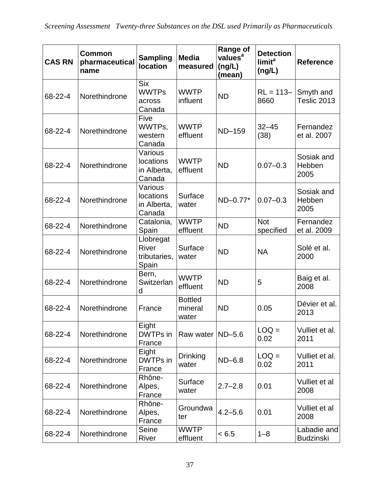| <b>CAS RN</b> | Common<br>pharmaceutical<br>name | <b>Sampling</b><br><b>location</b>                 | <b>Media</b><br>measured           | <b>Range of</b><br>values <sup>a</sup><br>(ng/L)<br>(mean) | <b>Detection</b><br>limit <sup>a</sup><br>(ng/L) | <b>Reference</b>                |
|---------------|----------------------------------|----------------------------------------------------|------------------------------------|------------------------------------------------------------|--------------------------------------------------|---------------------------------|
| 68-22-4       | Norethindrone                    | <b>Six</b><br><b>WWTPs</b><br>across<br>Canada     | <b>WWTP</b><br>influent            | <b>ND</b>                                                  | $RL = 113 -$<br>8660                             | Smyth and<br>Teslic 2013        |
| 68-22-4       | Norethindrone                    | Five<br>WWTPs,<br>western<br>Canada                | <b>WWTP</b><br>effluent            | <b>ND-159</b>                                              | $32 - 45$<br>(38)                                | Fernandez<br>et al. 2007        |
| 68-22-4       | Norethindrone                    | Various<br>locations<br>in Alberta,<br>Canada      | <b>WWTP</b><br>effluent            | <b>ND</b>                                                  | $0.07 - 0.3$                                     | Sosiak and<br>Hebben<br>2005    |
| 68-22-4       | Norethindrone                    | Various<br>locations<br>in Alberta,<br>Canada      | Surface<br>water                   | ND-0.77*                                                   | $0.07 - 0.3$                                     | Sosiak and<br>Hebben<br>2005    |
| 68-22-4       | Norethindrone                    | Catalonia,<br>Spain                                | <b>WWTP</b><br>effluent            | <b>ND</b>                                                  | <b>Not</b><br>specified                          | Fernandez<br>et al. 2009        |
| 68-22-4       | Norethindrone                    | Llobregat<br><b>River</b><br>tributaries,<br>Spain | Surface<br>water                   | <b>ND</b>                                                  | <b>NA</b>                                        | Solé et al.<br>2000             |
| 68-22-4       | Norethindrone                    | Bern,<br>Switzerlan<br>d                           | <b>WWTP</b><br>effluent            | <b>ND</b>                                                  | 5                                                | Baig et al.<br>2008             |
| 68-22-4       | Norethindrone                    | France                                             | <b>Bottled</b><br>mineral<br>water | <b>ND</b>                                                  | 0.05                                             | Dévier et al.<br>2013           |
| 68-22-4       | Norethindrone                    | Eight<br>DWTPs in<br>France                        | Raw water                          | $ND-5.6$                                                   | $LOQ =$<br>0.02                                  | Vulliet et al.<br>2011          |
| 68-22-4       | Norethindrone                    | Eight<br>DWTPs in<br>France                        | <b>Drinking</b><br>water           | $ND-6.8$                                                   | $LOQ =$<br>0.02                                  | Vulliet et al.<br>2011          |
| 68-22-4       | Norethindrone                    | Rhône-<br>Alpes,<br>France                         | Surface<br>water                   | $2.7 - 2.8$                                                | 0.01                                             | Vulliet et al<br>2008           |
| 68-22-4       | Norethindrone                    | Rhône-<br>Alpes,<br>France                         | Groundwa<br>ter                    | $4.2 - 5.6$                                                | 0.01                                             | Vulliet et al<br>2008           |
| 68-22-4       | Norethindrone                    | Seine<br>River                                     | <b>WWTP</b><br>effluent            | < 6.5                                                      | $1 - 8$                                          | Labadie and<br><b>Budzinski</b> |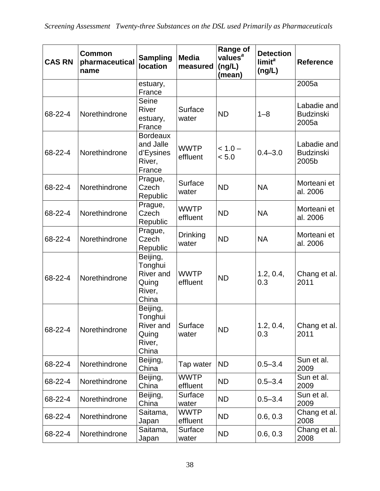| <b>CAS RN</b> | <b>Common</b><br>pharmaceutical<br>name | <b>Sampling</b><br><b>location</b>                            | <b>Media</b><br>measured | <b>Range of</b><br>values <sup>a</sup><br>(ng/L)<br>(mean) | <b>Detection</b><br>limit <sup>a</sup><br>(ng/L) | <b>Reference</b>                         |
|---------------|-----------------------------------------|---------------------------------------------------------------|--------------------------|------------------------------------------------------------|--------------------------------------------------|------------------------------------------|
|               |                                         | estuary,<br>France                                            |                          |                                                            |                                                  | 2005a                                    |
| 68-22-4       | Norethindrone                           | Seine<br><b>River</b><br>estuary,<br>France                   | Surface<br>water         | <b>ND</b>                                                  | $1 - 8$                                          | Labadie and<br><b>Budzinski</b><br>2005a |
| 68-22-4       | Norethindrone                           | <b>Bordeaux</b><br>and Jalle<br>d'Eysines<br>River,<br>France | <b>WWTP</b><br>effluent  | $< 1.0 -$<br>< 5.0                                         | $0.4 - 3.0$                                      | Labadie and<br><b>Budzinski</b><br>2005b |
| 68-22-4       | Norethindrone                           | Prague,<br>Czech<br>Republic                                  | Surface<br>water         | <b>ND</b>                                                  | <b>NA</b>                                        | Morteani et<br>al. 2006                  |
| 68-22-4       | Norethindrone                           | Prague,<br>Czech<br>Republic                                  | <b>WWTP</b><br>effluent  | <b>ND</b>                                                  | <b>NA</b>                                        | Morteani et<br>al. 2006                  |
| 68-22-4       | Norethindrone                           | Prague,<br>Czech<br>Republic                                  | <b>Drinking</b><br>water | <b>ND</b>                                                  | <b>NA</b>                                        | Morteani et<br>al. 2006                  |
| 68-22-4       | Norethindrone                           | Beijing,<br>Tonghui<br>River and<br>Quing<br>River,<br>China  | <b>WWTP</b><br>effluent  | <b>ND</b>                                                  | 1.2, 0.4,<br>0.3                                 | Chang et al.<br>2011                     |
| 68-22-4       | Norethindrone                           | Beijing,<br>Tonghui<br>River and<br>Quing<br>River,<br>China  | Surface<br>water         | <b>ND</b>                                                  | 1.2, 0.4,<br>0.3                                 | Chang et al.<br>2011                     |
| 68-22-4       | Norethindrone                           | Beijing,<br>China                                             | Tap water                | <b>ND</b>                                                  | $0.5 - 3.4$                                      | Sun et al.<br>2009                       |
| 68-22-4       | Norethindrone                           | Beijing,<br>China                                             | <b>WWTP</b><br>effluent  | <b>ND</b>                                                  | $0.5 - 3.4$                                      | Sun et al.<br>2009                       |
| 68-22-4       | Norethindrone                           | Beijing,<br>China                                             | Surface<br>water         | <b>ND</b>                                                  | $0.5 - 3.4$                                      | Sun et al.<br>2009                       |
| 68-22-4       | Norethindrone                           | Saitama,<br>Japan                                             | <b>WWTP</b><br>effluent  | <b>ND</b>                                                  | 0.6, 0.3                                         | Chang et al.<br>2008                     |
| 68-22-4       | Norethindrone                           | Saitama,<br>Japan                                             | Surface<br>water         | <b>ND</b>                                                  | 0.6, 0.3                                         | Chang et al.<br>2008                     |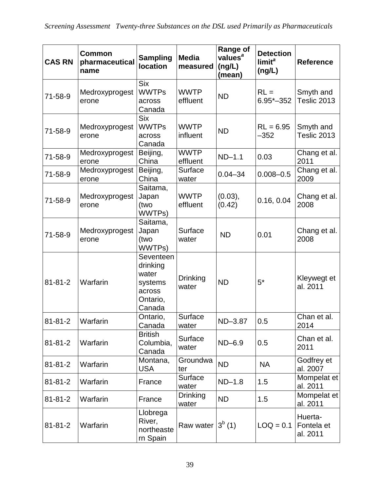| <b>CAS RN</b> | <b>Common</b><br>pharmaceutical<br>name | <b>Sampling</b><br><b>location</b>                                        | <b>Media</b><br>measured | <b>Range of</b><br>values <sup>a</sup><br>(ng/L)<br>(mean) | <b>Detection</b><br>limit <sup>a</sup><br>(ng/L) | <b>Reference</b>                  |
|---------------|-----------------------------------------|---------------------------------------------------------------------------|--------------------------|------------------------------------------------------------|--------------------------------------------------|-----------------------------------|
| $71 - 58 - 9$ | Medroxyprogest<br>erone                 | <b>Six</b><br><b>WWTPs</b><br>across<br>Canada                            | <b>WWTP</b><br>effluent  | <b>ND</b>                                                  | $RL =$<br>$6.95 - 352$                           | Smyth and<br>Teslic 2013          |
| 71-58-9       | Medroxyprogest<br>erone                 | <b>Six</b><br><b>WWTPs</b><br>across<br>Canada                            | <b>WWTP</b><br>influent  | <b>ND</b>                                                  | $RL = 6.95$<br>$-352$                            | Smyth and<br>Teslic 2013          |
| 71-58-9       | Medroxyprogest<br>erone                 | Beijing,<br>China                                                         | <b>WWTP</b><br>effluent  | $ND-1.1$                                                   | 0.03                                             | Chang et al.<br>2011              |
| 71-58-9       | Medroxyprogest<br>erone                 | Beijing,<br>China                                                         | Surface<br>water         | $0.04 - 34$                                                | $0.008 - 0.5$                                    | Chang et al.<br>2009              |
| 71-58-9       | Medroxyprogest<br>erone                 | Saitama,<br>Japan<br>(two<br>WWTPs)                                       | <b>WWTP</b><br>effluent  | (0.03),<br>(0.42)                                          | 0.16, 0.04                                       | Chang et al.<br>2008              |
| $71 - 58 - 9$ | Medroxyprogest<br>erone                 | Saitama,<br>Japan<br>(two<br>WWTPs)                                       | Surface<br>water         | <b>ND</b>                                                  | 0.01                                             | Chang et al.<br>2008              |
| $81 - 81 - 2$ | Warfarin                                | Seventeen<br>drinking<br>water<br>systems<br>across<br>Ontario,<br>Canada | <b>Drinking</b><br>water | <b>ND</b>                                                  | $5*$                                             | Kleywegt et<br>al. 2011           |
| $81 - 81 - 2$ | Warfarin                                | Ontario,<br>Canada                                                        | Surface<br>water         | ND-3.87                                                    | 0.5                                              | Chan et al.<br>2014               |
| $81 - 81 - 2$ | Warfarin                                | <b>British</b><br>Columbia,<br>Canada                                     | Surface<br>water         | $ND-6.9$                                                   | 0.5                                              | Chan et al.<br>2011               |
| $81 - 81 - 2$ | Warfarin                                | Montana,<br><b>USA</b>                                                    | Groundwa<br>ter          | <b>ND</b>                                                  | <b>NA</b>                                        | Godfrey et<br>al. 2007            |
| $81 - 81 - 2$ | Warfarin                                | France                                                                    | Surface<br>water         | $ND-1.8$                                                   | 1.5                                              | Mompelat et<br>al. 2011           |
| $81 - 81 - 2$ | Warfarin                                | France                                                                    | <b>Drinking</b><br>water | <b>ND</b>                                                  | 1.5                                              | Mompelat et<br>al. 2011           |
| $81 - 81 - 2$ | Warfarin                                | Llobrega<br>River,<br>northeaste<br>rn Spain                              | Raw water $3^b$ (1)      |                                                            | $LOQ = 0.1$                                      | Huerta-<br>Fontela et<br>al. 2011 |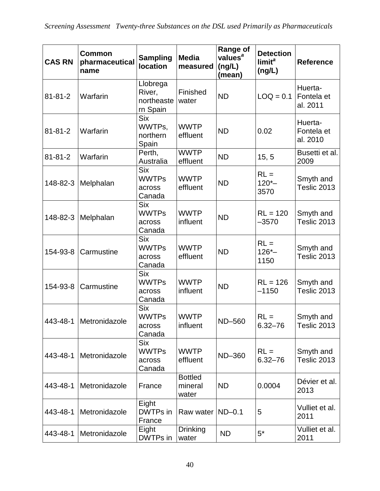| <b>CAS RN</b> | <b>Common</b><br>pharmaceutical<br>name | <b>Sampling</b><br><b>location</b>             | <b>Media</b><br>measured           | <b>Range of</b><br>values <sup>a</sup><br>(ng/L)<br>(mean) | <b>Detection</b><br>limit <sup>a</sup><br>(ng/L) | <b>Reference</b>                  |
|---------------|-----------------------------------------|------------------------------------------------|------------------------------------|------------------------------------------------------------|--------------------------------------------------|-----------------------------------|
| $81 - 81 - 2$ | Warfarin                                | Llobrega<br>River,<br>northeaste<br>rn Spain   | Finished<br>water                  | <b>ND</b>                                                  | $LOQ = 0.1$                                      | Huerta-<br>Fontela et<br>al. 2011 |
| $81 - 81 - 2$ | Warfarin                                | <b>Six</b><br>WWTPs,<br>northern<br>Spain      | <b>WWTP</b><br>effluent            | <b>ND</b>                                                  | 0.02                                             | Huerta-<br>Fontela et<br>al. 2010 |
| $81 - 81 - 2$ | Warfarin                                | Perth,<br>Australia                            | <b>WWTP</b><br>effluent            | <b>ND</b>                                                  | 15, 5                                            | Busetti et al.<br>2009            |
| 148-82-3      | Melphalan                               | <b>Six</b><br><b>WWTPs</b><br>across<br>Canada | <b>WWTP</b><br>effluent            | <b>ND</b>                                                  | $RL =$<br>$120 -$<br>3570                        | Smyth and<br>Teslic 2013          |
| 148-82-3      | Melphalan                               | <b>Six</b><br><b>WWTPs</b><br>across<br>Canada | <b>WWTP</b><br>influent            | <b>ND</b>                                                  | $RL = 120$<br>$-3570$                            | Smyth and<br>Teslic 2013          |
| 154-93-8      | Carmustine                              | <b>Six</b><br><b>WWTPs</b><br>across<br>Canada | <b>WWTP</b><br>effluent            | <b>ND</b>                                                  | $RL =$<br>$126 -$<br>1150                        | Smyth and<br>Teslic 2013          |
| 154-93-8      | Carmustine                              | <b>Six</b><br><b>WWTPs</b><br>across<br>Canada | <b>WWTP</b><br>influent            | <b>ND</b>                                                  | $RL = 126$<br>$-1150$                            | Smyth and<br>Teslic 2013          |
|               | 443-48-1 Metronidazole                  | <b>Six</b><br><b>WWTPs</b><br>across<br>Canada | <b>WWTP</b><br>influent            | <b>ND-560</b>                                              | $RL =$<br>$6.32 - 76$                            | Smyth and<br>Teslic 2013          |
| 443-48-1      | Metronidazole                           | <b>Six</b><br><b>WWTPs</b><br>across<br>Canada | <b>WWTP</b><br>effluent            | ND-360                                                     | $RL =$<br>$6.32 - 76$                            | Smyth and<br>Teslic 2013          |
| 443-48-1      | Metronidazole                           | France                                         | <b>Bottled</b><br>mineral<br>water | <b>ND</b>                                                  | 0.0004                                           | Dévier et al.<br>2013             |
| 443-48-1      | Metronidazole                           | Eight<br>DWTPs in<br>France                    | Raw water                          | $ND-0.1$                                                   | 5                                                | Vulliet et al.<br>2011            |
| 443-48-1      | Metronidazole                           | Eight<br>DWTPs in                              | <b>Drinking</b><br>water           | <b>ND</b>                                                  | $5^*$                                            | Vulliet et al.<br>2011            |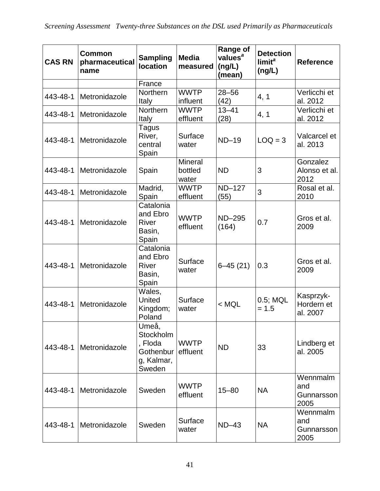| <b>CAS RN</b> | Common<br>pharmaceutical<br>name | <b>Sampling</b><br><b>location</b>                                 | <b>Media</b><br>measured           | <b>Range of</b><br>values <sup>a</sup><br>(ng/L)<br>(mean) | <b>Detection</b><br>limit <sup>a</sup><br>(ng/L) | <b>Reference</b>                      |
|---------------|----------------------------------|--------------------------------------------------------------------|------------------------------------|------------------------------------------------------------|--------------------------------------------------|---------------------------------------|
|               |                                  | France                                                             |                                    |                                                            |                                                  |                                       |
| 443-48-1      | Metronidazole                    | Northern<br>Italy                                                  | <b>WWTP</b><br>influent            | $28 - 56$<br>(42)                                          | 4, 1                                             | Verlicchi et<br>al. 2012              |
| 443-48-1      | Metronidazole                    | Northern<br>Italy                                                  | <b>WWTP</b><br>effluent            | $13 - 41$<br>(28)                                          | 4, 1                                             | Verlicchi et<br>al. 2012              |
| 443-48-1      | Metronidazole                    | Tagus<br>River,<br>central<br>Spain                                | Surface<br>water                   | $ND-19$                                                    | $LOQ = 3$                                        | Valcarcel et<br>al. 2013              |
| 443-48-1      | Metronidazole                    | Spain                                                              | <b>Mineral</b><br>bottled<br>water | <b>ND</b>                                                  | 3                                                | Gonzalez<br>Alonso et al.<br>2012     |
| 443-48-1      | Metronidazole                    | Madrid,<br>Spain                                                   | <b>WWTP</b><br>effluent            | <b>ND-127</b><br>(55)                                      | 3                                                | Rosal et al.<br>2010                  |
| 443-48-1      | Metronidazole                    | Catalonia<br>and Ebro<br><b>River</b><br>Basin,<br>Spain           | <b>WWTP</b><br>effluent            | ND-295<br>(164)                                            | 0.7                                              | Gros et al.<br>2009                   |
| 443-48-1      | Metronidazole                    | Catalonia<br>and Ebro<br><b>River</b><br>Basin,<br>Spain           | Surface<br>water                   | $6 - 45(21)$                                               | 0.3                                              | Gros et al.<br>2009                   |
| 443-48-1      | Metronidazole                    | Wales,<br><b>United</b><br>Kingdom;<br>Poland                      | Surface<br>water                   | $<$ MQL                                                    | 0.5; MQL<br>$= 1.5$                              | Kasprzyk-<br>Hordern et<br>al. 2007   |
| 443-48-1      | Metronidazole                    | Umeå,<br>Stockholm<br>, Floda<br>Gothenbur<br>g, Kalmar,<br>Sweden | <b>WWTP</b><br>effluent            | <b>ND</b>                                                  | 33                                               | Lindberg et<br>al. 2005               |
|               | 443-48-1   Metronidazole         | Sweden                                                             | <b>WWTP</b><br>effluent            | $15 - 80$                                                  | <b>NA</b>                                        | Wennmalm<br>and<br>Gunnarsson<br>2005 |
|               | 443-48-1   Metronidazole         | Sweden                                                             | Surface<br>water                   | $ND-43$                                                    | <b>NA</b>                                        | Wennmalm<br>and<br>Gunnarsson<br>2005 |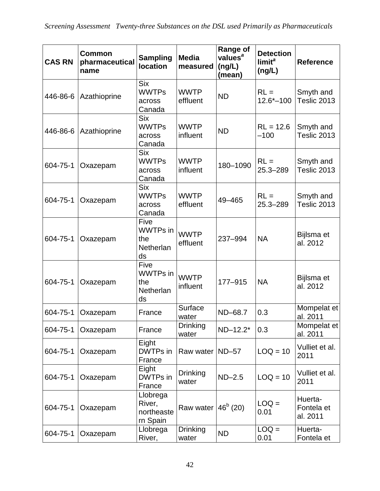| <b>CAS RN</b> | Common<br>pharmaceutical<br>name | <b>Sampling</b><br><b>location</b>                       | <b>Media</b><br>measured | <b>Range of</b><br>values <sup>a</sup><br>(ng/L)<br>(mean) | <b>Detection</b><br>limit <sup>a</sup><br>(ng/L) | <b>Reference</b>                  |
|---------------|----------------------------------|----------------------------------------------------------|--------------------------|------------------------------------------------------------|--------------------------------------------------|-----------------------------------|
| 446-86-6      | Azathioprine                     | <b>Six</b><br><b>WWTPs</b><br>across<br>Canada           | <b>WWTP</b><br>effluent  | <b>ND</b>                                                  | $RL =$<br>$12.6^{\ast}-100$                      | Smyth and<br>Teslic 2013          |
| 446-86-6      | Azathioprine                     | <b>Six</b><br><b>WWTPs</b><br>across<br>Canada           | <b>WWTP</b><br>influent  | <b>ND</b>                                                  | $RL = 12.6$<br>$-100$                            | Smyth and<br>Teslic 2013          |
| 604-75-1      | Oxazepam                         | <b>Six</b><br><b>WWTPs</b><br>across<br>Canada           | <b>WWTP</b><br>influent  | 180-1090                                                   | $RL =$<br>$25.3 - 289$                           | Smyth and<br>Teslic 2013          |
| 604-75-1      | Oxazepam                         | <b>Six</b><br><b>WWTPs</b><br>across<br>Canada           | <b>WWTP</b><br>effluent  | 49-465                                                     | $RL =$<br>25.3-289                               | Smyth and<br>Teslic 2013          |
| 604-75-1      | Oxazepam                         | Five<br><b>WWTPs</b> in<br>the<br><b>Netherlan</b><br>ds | <b>WWTP</b><br>effluent  | 237-994                                                    | <b>NA</b>                                        | Bijlsma et<br>al. 2012            |
| 604-75-1      | Oxazepam                         | Five<br>WWTPs in<br>the<br>Netherlan<br>ds               | <b>WWTP</b><br>influent  | 177-915                                                    | <b>NA</b>                                        | Bijlsma et<br>al. 2012            |
| 604-75-1      | Oxazepam                         | France                                                   | Surface<br>water         | ND-68.7                                                    | 0.3                                              | Mompelat et<br>al. 2011           |
| 604-75-1      | Oxazepam                         | France                                                   | <b>Drinking</b><br>water | ND-12.2*                                                   | 0.3                                              | Mompelat et<br>al. 2011           |
| 604-75-1      | Oxazepam                         | Eight<br>DWTPs in<br>France                              | Raw water   ND-57        |                                                            | $LOQ = 10$                                       | Vulliet et al.<br>2011            |
| 604-75-1      | Oxazepam                         | Eight<br>DWTPs in<br>France                              | Drinking<br>water        | $ND-2.5$                                                   | $LOQ = 10$                                       | Vulliet et al.<br>2011            |
| 604-75-1      | Oxazepam                         | Llobrega<br>River,<br>northeaste<br>rn Spain             | Raw water                | $46^b$ (20)                                                | $LOQ =$<br>0.01                                  | Huerta-<br>Fontela et<br>al. 2011 |
| 604-75-1      | Oxazepam                         | Llobrega<br>River,                                       | Drinking<br>water        | <b>ND</b>                                                  | $LOQ =$<br>0.01                                  | Huerta-<br>Fontela et             |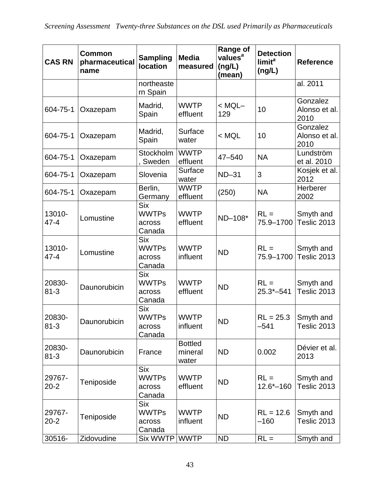| <b>CAS RN</b>      | <b>Common</b><br>pharmaceutical<br>name | <b>Sampling</b><br><b>location</b>             | <b>Media</b><br>measured           | <b>Range of</b><br>values <sup>a</sup><br>(ng/L)<br>(mean) | <b>Detection</b><br>limit <sup>a</sup><br>(ng/L) | <b>Reference</b>                  |
|--------------------|-----------------------------------------|------------------------------------------------|------------------------------------|------------------------------------------------------------|--------------------------------------------------|-----------------------------------|
|                    |                                         | northeaste<br>rn Spain                         |                                    |                                                            |                                                  | al. 2011                          |
| 604-75-1           | Oxazepam                                | Madrid,<br>Spain                               | <b>WWTP</b><br>effluent            | $<$ MQL $-$<br>129                                         | 10                                               | Gonzalez<br>Alonso et al.<br>2010 |
| 604-75-1           | Oxazepam                                | Madrid,<br>Spain                               | Surface<br>water                   | $<$ MQL                                                    | 10                                               | Gonzalez<br>Alonso et al.<br>2010 |
| 604-75-1           | Oxazepam                                | Stockholm<br>Sweden                            | <b>WWTP</b><br>effluent            | $47 - 540$                                                 | <b>NA</b>                                        | Lundström<br>et al. 2010          |
| 604-75-1           | Oxazepam                                | Slovenia                                       | Surface<br>water                   | $ND-31$                                                    | 3                                                | Kosjek et al.<br>2012             |
| 604-75-1           | Oxazepam                                | Berlin,<br>Germany                             | <b>WWTP</b><br>effluent            | (250)                                                      | <b>NA</b>                                        | Herberer<br>2002                  |
| 13010-<br>$47 - 4$ | Lomustine                               | <b>Six</b><br><b>WWTPs</b><br>across<br>Canada | <b>WWTP</b><br>effluent            | ND-108*                                                    | $RL =$<br>75.9-1700                              | Smyth and<br>Teslic 2013          |
| 13010-<br>$47 - 4$ | Lomustine                               | <b>Six</b><br><b>WWTPs</b><br>across<br>Canada | <b>WWTP</b><br>influent            | <b>ND</b>                                                  | $RL =$<br>75.9-1700                              | Smyth and<br>Teslic 2013          |
| 20830-<br>$81 - 3$ | Daunorubicin                            | <b>Six</b><br><b>WWTPs</b><br>across<br>Canada | <b>WWTP</b><br>effluent            | <b>ND</b>                                                  | $RL =$<br>$25.3 - 541$                           | Smyth and<br>Teslic 2013          |
| 20830-<br>$81 - 3$ | Daunorubicin                            | <b>Six</b><br><b>WWTPs</b><br>across<br>Canada | <b>WWTP</b><br>influent            | <b>ND</b>                                                  | $RL = 25.3$<br>$-541$                            | Smyth and<br>Teslic 2013          |
| 20830-<br>$81 - 3$ | Daunorubicin                            | France                                         | <b>Bottled</b><br>mineral<br>water | <b>ND</b>                                                  | 0.002                                            | Dévier et al.<br>2013             |
| 29767-<br>$20 - 2$ | Teniposide                              | <b>Six</b><br><b>WWTPs</b><br>across<br>Canada | <b>WWTP</b><br>effluent            | <b>ND</b>                                                  | $RL =$<br>$12.6*-160$                            | Smyth and<br>Teslic 2013          |
| 29767-<br>$20 - 2$ | Teniposide                              | <b>Six</b><br><b>WWTPs</b><br>across<br>Canada | <b>WWTP</b><br>influent            | <b>ND</b>                                                  | $RL = 12.6$<br>$-160$                            | Smyth and<br>Teslic 2013          |
| 30516-             | Zidovudine                              | <b>Six WWTP</b>                                | <b>WWTP</b>                        | <b>ND</b>                                                  | $RL =$                                           | Smyth and                         |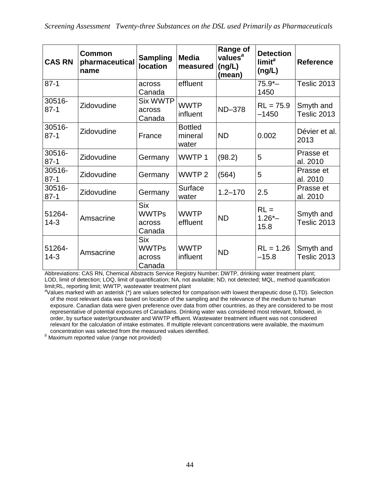| <b>CAS RN</b>      | Common<br>pharmaceutical<br>name | <b>Sampling</b><br><b>location</b>             | <b>Media</b><br>measured           | <b>Range of</b><br>values <sup>a</sup><br>(ng/L)<br>(mean) | <b>Detection</b><br>limit <sup>a</sup><br>(ng/L) | <b>Reference</b>         |
|--------------------|----------------------------------|------------------------------------------------|------------------------------------|------------------------------------------------------------|--------------------------------------------------|--------------------------|
| $87-1$             |                                  | across<br>Canada                               | effluent                           |                                                            | $75.9 -$<br>1450                                 | Teslic 2013              |
| 30516-<br>$87 - 1$ | Zidovudine                       | <b>Six WWTP</b><br>across<br>Canada            | <b>WWTP</b><br>influent            | ND-378                                                     | $RL = 75.9$<br>$-1450$                           | Smyth and<br>Teslic 2013 |
| 30516-<br>$87 - 1$ | Zidovudine                       | France                                         | <b>Bottled</b><br>mineral<br>water | <b>ND</b>                                                  | 0.002                                            | Dévier et al.<br>2013    |
| 30516-<br>$87-1$   | Zidovudine                       | Germany                                        | WWTP1                              | (98.2)                                                     | 5                                                | Prasse et<br>al. 2010    |
| 30516-<br>$87-1$   | Zidovudine                       | Germany                                        | WWTP <sub>2</sub>                  | (564)                                                      | 5                                                | Prasse et<br>al. 2010    |
| 30516-<br>$87-1$   | Zidovudine                       | Germany                                        | Surface<br>water                   | $1.2 - 170$                                                | 2.5                                              | Prasse et<br>al. 2010    |
| 51264-<br>$14-3$   | Amsacrine                        | <b>Six</b><br><b>WWTPs</b><br>across<br>Canada | <b>WWTP</b><br>effluent            | <b>ND</b>                                                  | $RL =$<br>$1.26 -$<br>15.8                       | Smyth and<br>Teslic 2013 |
| 51264-<br>$14-3$   | Amsacrine                        | <b>Six</b><br><b>WWTPs</b><br>across<br>Canada | <b>WWTP</b><br>influent            | <b>ND</b>                                                  | $RL = 1.26$<br>$-15.8$                           | Smyth and<br>Teslic 2013 |

Abbreviations: CAS RN, Chemical Abstracts Service Registry Number; DWTP, drinking water treatment plant; LOD, limit of detection; LOQ, limit of quantification; NA, not available; ND, not detected; MQL, method quantification limit;RL, reporting limit; WWTP, wastewater treatment plant

*a* Values marked with an asterisk (\*) are values selected for comparison with lowest therapeutic dose (LTD). Selection of the most relevant data was based on location of the sampling and the relevance of the medium to human exposure. Canadian data were given preference over data from other countries, as they are considered to be most representative of potential exposures of Canadians. Drinking water was considered most relevant, followed, in order, by surface water/groundwater and WWTP effluent. Wastewater treatment influent was not considered relevant for the calculation of intake estimates. If multiple relevant concentrations were available, the maximum concentration was selected from the measured values identified.

<sup>b</sup> Maximum reported value (range not provided)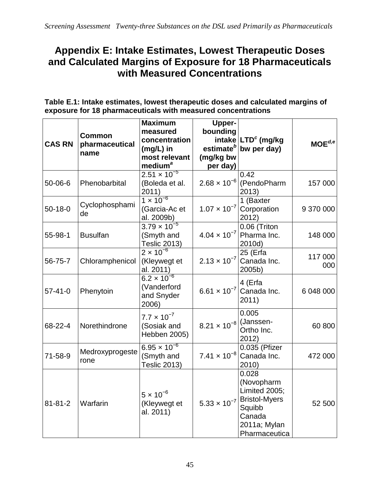## **Appendix E: Intake Estimates, Lowest Therapeutic Doses and Calculated Margins of Exposure for 18 Pharmaceuticals with Measured Concentrations**

**Table E.1: Intake estimates, lowest therapeutic doses and calculated margins of exposure for 18 pharmaceuticals with measured concentrations**

| <b>CAS RN</b> | <b>Common</b><br>pharmaceutical<br>name | <b>Maximum</b><br>measured<br>concentration<br>$(mg/L)$ in<br>most relevant<br>medium <sup>a</sup> | <b>Upper-</b><br>bounding<br>(mg/kg bw<br>per day) | intake LTD <sup>c</sup> (mg/kg<br>estimate <sup>b</sup> bw per day)                                                                       | $\mathsf{MOE}^{d,e}$ |
|---------------|-----------------------------------------|----------------------------------------------------------------------------------------------------|----------------------------------------------------|-------------------------------------------------------------------------------------------------------------------------------------------|----------------------|
| $50 - 06 - 6$ | Phenobarbital                           | $2.51 \times 10^{-5}$<br>(Boleda et al.<br>2011)                                                   |                                                    | 0.42<br>$2.68 \times 10^{-6}$ (PendoPharm<br>2013)                                                                                        | 157 000              |
| $50-18-0$     | Cyclophosphami<br>de                    | $1 \times 10^{-6}$<br>(Garcia-Ac et<br>al. 2009b)                                                  | $1.07 \times 10^{-7}$                              | 1 (Baxter<br>Corporation<br>2012)                                                                                                         | 9 370 000            |
| 55-98-1       | <b>Busulfan</b>                         | $3.79 \times 10^{-5}$<br>(Smyth and<br><b>Teslic 2013)</b>                                         | $4.04 \times 10^{-7}$                              | $\overline{0.06}$ (Triton<br>Pharma Inc.<br>2010d)                                                                                        | 148 000              |
| 56-75-7       | Chloramphenicol                         | $2 \times 10^{-6}$<br>(Kleywegt et<br>al. 2011)                                                    | $2.13 \times 10^{-7}$                              | 25 (Erfa<br>Canada Inc.<br>2005b)                                                                                                         | 117 000<br>000       |
| $57 - 41 - 0$ | Phenytoin                               | $6.2 \times 10^{-6}$<br>(Vanderford<br>and Snyder<br>2006)                                         |                                                    | 4 (Erfa<br>6.61 $\times$ 10 <sup>-7</sup> Canada Inc.<br>2011)                                                                            | 6 048 000            |
| 68-22-4       | Norethindrone                           | $7.7 \times 10^{-7}$<br>(Sosiak and<br>Hebben 2005)                                                | $8.21 \times 10^{-8}$                              | 0.005<br>(Janssen-<br>Ortho Inc.<br>2012)                                                                                                 | 60 800               |
| 71-58-9       | Medroxyprogeste<br>rone                 | $6.95 \times 10^{-6}$<br>(Smyth and<br><b>Teslic 2013)</b>                                         | $7.41 \times 10^{-8}$                              | 0.035 (Pfizer<br>Canada Inc.<br>2010)                                                                                                     | 472 000              |
| $81 - 81 - 2$ | Warfarin                                | $5 \times 10^{-6}$<br>(Kleywegt et<br>al. 2011)                                                    |                                                    | 0.028<br>(Novopharm<br>Limited 2005;<br>5.33 $\times$ 10 <sup>-7</sup> Bristol-Myers<br>Squibb<br>Canada<br>2011a; Mylan<br>Pharmaceutica | 52 500               |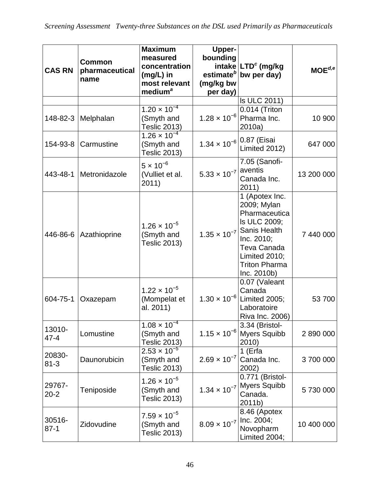| <b>CAS RN</b>      | <b>Common</b><br>pharmaceutical<br>name | <b>Maximum</b><br>measured<br>concentration<br>$(mg/L)$ in<br>most relevant<br>medium <sup>a</sup> | <b>Upper-</b><br>bounding<br>(mg/kg bw<br>per day) | intake LTD <sup>c</sup> (mg/kg<br>estimate <sup>b</sup> bw per day)                                                                                                                                | $MOE^{d,e}$ |
|--------------------|-----------------------------------------|----------------------------------------------------------------------------------------------------|----------------------------------------------------|----------------------------------------------------------------------------------------------------------------------------------------------------------------------------------------------------|-------------|
|                    |                                         |                                                                                                    |                                                    | Is ULC 2011)                                                                                                                                                                                       |             |
|                    | 148-82-3 Melphalan                      | $1.20 \times 10^{-4}$<br>(Smyth and<br><b>Teslic 2013)</b>                                         |                                                    | 0.014 (Triton<br>1.28 $\times$ 10 <sup>-6</sup> Pharma Inc.<br>2010a)                                                                                                                              | 10 900      |
| 154-93-8           | Carmustine                              | $1.26 \times 10^{-4}$<br>(Smyth and<br><b>Teslic 2013)</b>                                         | $1.34 \times 10^{-6}   0.87$ (Eisai                | Limited 2012)                                                                                                                                                                                      | 647 000     |
|                    | 443-48-1 Metronidazole                  | $5 \times 10^{-6}$<br>(Vulliet et al.<br>2011)                                                     | 5.33 $\times$ 10 <sup>-7</sup> aventis             | 7.05 (Sanofi-<br>Canada Inc.<br>2011)                                                                                                                                                              | 13 200 000  |
| 446-86-6           | Azathioprine                            | $1.26 \times 10^{-5}$<br>(Smyth and<br><b>Teslic 2013)</b>                                         |                                                    | 1 (Apotex Inc.<br>2009; Mylan<br>Pharmaceutica<br>Is ULC 2009;<br>1.35 $\times$ 10 <sup>-7</sup> Sanis Health<br>Inc. 2010;<br>Teva Canada<br>Limited 2010;<br><b>Triton Pharma</b><br>Inc. 2010b) | 7 440 000   |
| 604-75-1           | Oxazepam                                | $1.22 \times 10^{-5}$<br>(Mompelat et<br>al. 2011)                                                 | $1.30 \times 10^{-6}$                              | 0.07 (Valeant<br>Canada<br>Limited 2005;<br>Laboratoire<br>Riva Inc. 2006)                                                                                                                         | 53 700      |
| 13010-<br>$47 - 4$ | Lomustine                               | $1.08 \times 10^{-4}$<br>(Smyth and<br><b>Teslic 2013)</b>                                         | $1.15 \times 10^{-6}$                              | 3.34 (Bristol-<br><b>Myers Squibb</b><br>2010)                                                                                                                                                     | 2 890 000   |
| 20830-<br>$81 - 3$ | Daunorubicin                            | $2.53 \times 10^{-5}$<br>(Smyth and<br><b>Teslic 2013)</b>                                         | $2.69 \times 10^{-7}$                              | 1 (Erfa<br>Canada Inc.<br>2002)                                                                                                                                                                    | 3700000     |
| 29767-<br>$20 - 2$ | Teniposide                              | $1.26 \times 10^{-5}$<br>(Smyth and<br><b>Teslic 2013)</b>                                         | $1.34 \times 10^{-7}$                              | 0.771 (Bristol-<br><b>Myers Squibb</b><br>Canada.<br>2011b)                                                                                                                                        | 5730000     |
| 30516-<br>$87 - 1$ | Zidovudine                              | $7.59 \times 10^{-5}$<br>(Smyth and<br><b>Teslic 2013)</b>                                         | $8.09 \times 10^{-7}$ Inc. 2004;                   | 8.46 (Apotex<br>Novopharm<br>Limited 2004;                                                                                                                                                         | 10 400 000  |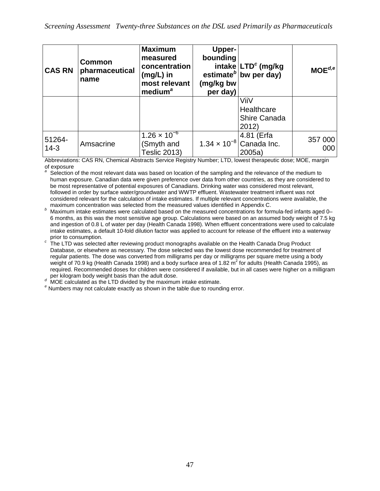| <b>CAS RN</b>    | <b>Common</b><br>pharmaceutical<br>name | <b>Maximum</b><br>measured<br>concentration<br>$(mg/L)$ in<br>most relevant<br>medium <sup>a</sup> | <b>Upper-</b><br>bounding<br>(mg/kg bw<br>per day) | intake LTD <sup>c</sup> (mg/kg<br>estimate <sup><math>b</math></sup> bw per day) | $MOE^{d,e}$    |
|------------------|-----------------------------------------|----------------------------------------------------------------------------------------------------|----------------------------------------------------|----------------------------------------------------------------------------------|----------------|
|                  |                                         |                                                                                                    |                                                    | ViiV<br>Healthcare<br>Shire Canada<br>2012)                                      |                |
| 51264-<br>$14-3$ | Amsacrine                               | $1.26 \times 10^{-6}$<br>(Smyth and<br><b>Teslic 2013)</b>                                         | $1.34 \times 10^{-8}$                              | 4.81 (Erfa<br>Canada Inc.<br>2005a                                               | 357 000<br>000 |

Abbreviations: CAS RN, Chemical Abstracts Service Registry Number; LTD, lowest therapeutic dose; MOE, margin of exposure

*<sup>a</sup>* Selection of the most relevant data was based on location of the sampling and the relevance of the medium to human exposure. Canadian data were given preference over data from other countries, as they are considered to be most representative of potential exposures of Canadians. Drinking water was considered most relevant, followed in order by surface water/groundwater and WWTP effluent. Wastewater treatment influent was not considered relevant for the calculation of intake estimates. If multiple relevant concentrations were available, the maximum concentration was selected from the measured values identified in Appendix C.

b Maximum concentration was selected from the measured values identified in Appendix C.<br><sup>*b*</sup> Maximum intake estimates were calculated based on the measured concentrations for formula-fed infants aged 0– 6 months, as this was the most sensitive age group. Calculations were based on an assumed body weight of 7.5 kg and ingestion of 0.8 L of water per day (Health Canada 1998). When effluent concentrations were used to calculate intake estimates, a default 10-fold dilution factor was applied to account for release of the effluent into a waterway

prior to consumption. *<sup>c</sup>* The LTD was selected after reviewing product monographs available on the Health Canada Drug Product Database, or elsewhere as necessary. The dose selected was the lowest dose recommended for treatment of regular patients. The dose was converted from milligrams per day or milligrams per square metre using a body weight of 70.9 kg (Health Canada 1998) and a body surface area of 1.82  $m^2$  for adults (Health Canada 1995), as required. Recommended doses for children were considered if available, but in all cases were higher on a milligram<br>per kilogram body weight basis than the adult dose.

per kilogram body weight basis than the adult dose. *<sup>d</sup>* MOE calculated as the LTD divided by the maximum intake estimate. *<sup>e</sup>* Numbers may not calculate exactly as shown in the table due to rounding error.